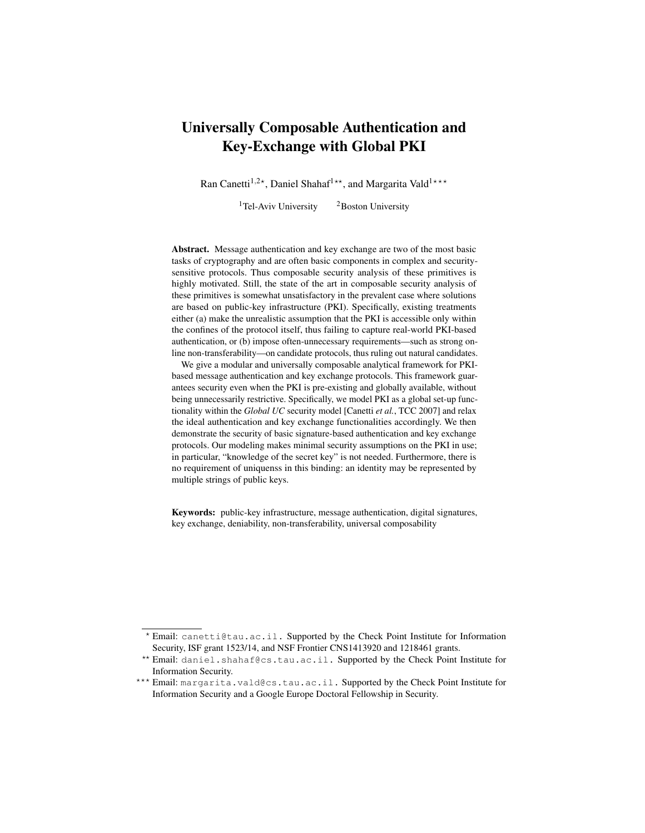# Universally Composable Authentication and Key-Exchange with Global PKI

Ran Canetti<sup>1,2\*</sup>, Daniel Shahaf<sup>1\*\*</sup>, and Margarita Vald<sup>1\*\*\*</sup>

<sup>1</sup>Tel-Aviv University  $2$ Boston University

Abstract. Message authentication and key exchange are two of the most basic tasks of cryptography and are often basic components in complex and securitysensitive protocols. Thus composable security analysis of these primitives is highly motivated. Still, the state of the art in composable security analysis of these primitives is somewhat unsatisfactory in the prevalent case where solutions are based on public-key infrastructure (PKI). Specifically, existing treatments either (a) make the unrealistic assumption that the PKI is accessible only within the confines of the protocol itself, thus failing to capture real-world PKI-based authentication, or (b) impose often-unnecessary requirements—such as strong online non-transferability—on candidate protocols, thus ruling out natural candidates.

We give a modular and universally composable analytical framework for PKIbased message authentication and key exchange protocols. This framework guarantees security even when the PKI is pre-existing and globally available, without being unnecessarily restrictive. Specifically, we model PKI as a global set-up functionality within the *Global UC* security model [Canetti *et al.*, TCC 2007] and relax the ideal authentication and key exchange functionalities accordingly. We then demonstrate the security of basic signature-based authentication and key exchange protocols. Our modeling makes minimal security assumptions on the PKI in use; in particular, "knowledge of the secret key" is not needed. Furthermore, there is no requirement of uniquenss in this binding: an identity may be represented by multiple strings of public keys.

Keywords: public-key infrastructure, message authentication, digital signatures, key exchange, deniability, non-transferability, universal composability

<sup>?</sup> Email: canetti@tau.ac.il. Supported by the Check Point Institute for Information Security, ISF grant 1523/14, and NSF Frontier CNS1413920 and 1218461 grants.

<sup>\*\*</sup> Email: daniel.shahaf@cs.tau.ac.il. Supported by the Check Point Institute for Information Security.

<sup>\*\*\*</sup> Email: margarita.vald@cs.tau.ac.il. Supported by the Check Point Institute for Information Security and a Google Europe Doctoral Fellowship in Security.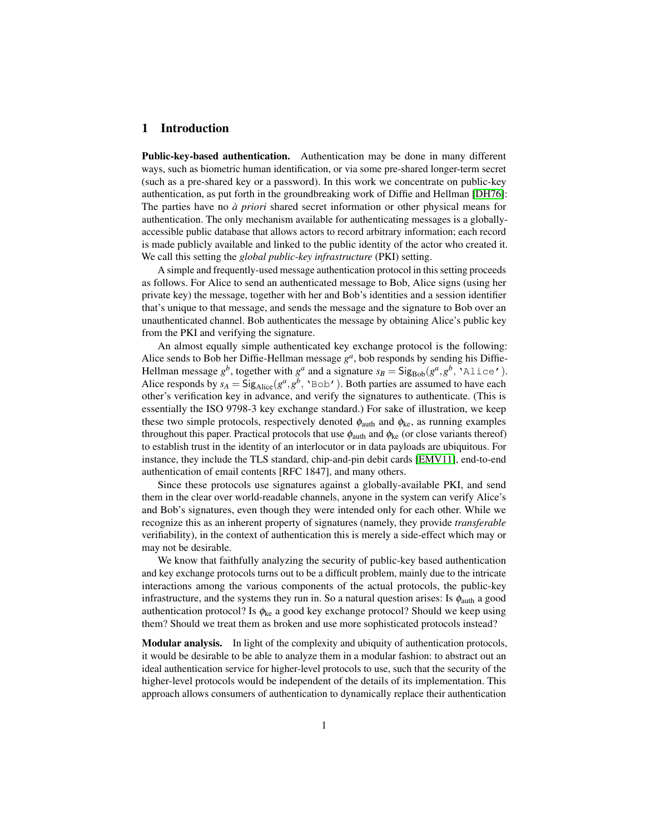## 1 Introduction

Public-key-based authentication. Authentication may be done in many different ways, such as biometric human identification, or via some pre-shared longer-term secret (such as a pre-shared key or a password). In this work we concentrate on public-key authentication, as put forth in the groundbreaking work of Diffie and Hellman [\[DH76\]](#page-29-0): The parties have no *à priori* shared secret information or other physical means for authentication. The only mechanism available for authenticating messages is a globallyaccessible public database that allows actors to record arbitrary information; each record is made publicly available and linked to the public identity of the actor who created it. We call this setting the *global public-key infrastructure* (PKI) setting.

A simple and frequently-used message authentication protocol in this setting proceeds as follows. For Alice to send an authenticated message to Bob, Alice signs (using her private key) the message, together with her and Bob's identities and a session identifier that's unique to that message, and sends the message and the signature to Bob over an unauthenticated channel. Bob authenticates the message by obtaining Alice's public key from the PKI and verifying the signature.

An almost equally simple authenticated key exchange protocol is the following: Alice sends to Bob her Diffie-Hellman message  $g^a$ , bob responds by sending his Diffie-Hellman message  $g^b$ , together with  $g^a$  and a signature  $s_B = \text{Sig}_{Bob}(g^a, g^b, \text{'Alice'})$ . Alice responds by  $s_A = \text{Sig}_{\text{Alice}}(g^a, g^b, \text{ 'Bob' } )$ . Both parties are assumed to have each other's verification key in advance, and verify the signatures to authenticate. (This is essentially the ISO 9798-3 key exchange standard.) For sake of illustration, we keep these two simple protocols, respectively denoted  $\phi_{\text{auth}}$  and  $\phi_{\text{ke}}$ , as running examples throughout this paper. Practical protocols that use  $\phi_{\text{auth}}$  and  $\phi_{\text{ke}}$  (or close variants thereof) to establish trust in the identity of an interlocutor or in data payloads are ubiquitous. For instance, they include the TLS standard, chip-and-pin debit cards [\[EMV11\]](#page-29-1), end-to-end authentication of email contents [RFC 1847], and many others.

Since these protocols use signatures against a globally-available PKI, and send them in the clear over world-readable channels, anyone in the system can verify Alice's and Bob's signatures, even though they were intended only for each other. While we recognize this as an inherent property of signatures (namely, they provide *transferable* verifiability), in the context of authentication this is merely a side-effect which may or may not be desirable.

We know that faithfully analyzing the security of public-key based authentication and key exchange protocols turns out to be a difficult problem, mainly due to the intricate interactions among the various components of the actual protocols, the public-key infrastructure, and the systems they run in. So a natural question arises: Is  $\phi_{\text{auth}}$  a good authentication protocol? Is  $\phi_{ke}$  a good key exchange protocol? Should we keep using them? Should we treat them as broken and use more sophisticated protocols instead?

Modular analysis. In light of the complexity and ubiquity of authentication protocols, it would be desirable to be able to analyze them in a modular fashion: to abstract out an ideal authentication service for higher-level protocols to use, such that the security of the higher-level protocols would be independent of the details of its implementation. This approach allows consumers of authentication to dynamically replace their authentication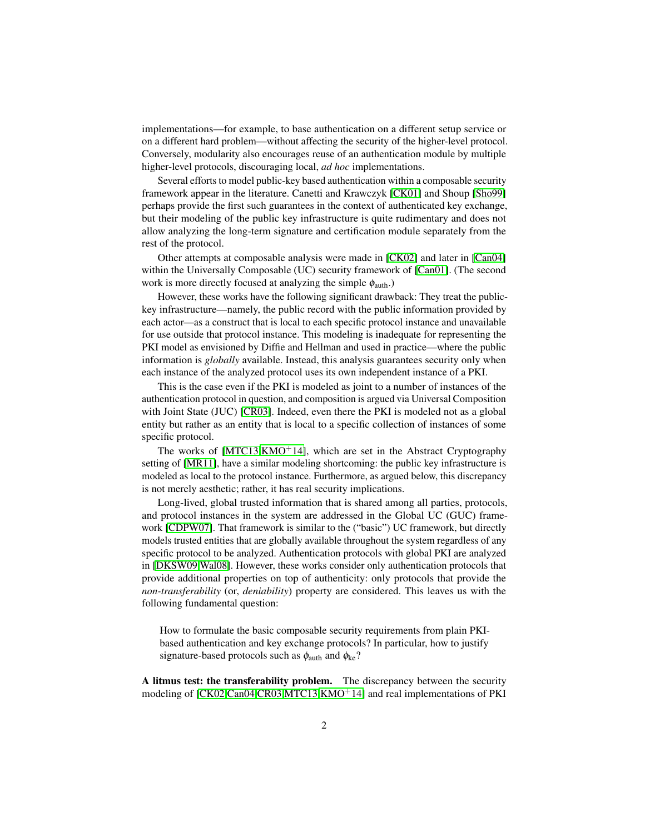implementations—for example, to base authentication on a different setup service or on a different hard problem—without affecting the security of the higher-level protocol. Conversely, modularity also encourages reuse of an authentication module by multiple higher-level protocols, discouraging local, *ad hoc* implementations.

Several efforts to model public-key based authentication within a composable security framework appear in the literature. Canetti and Krawczyk [\[CK01\]](#page-28-0) and Shoup [\[Sho99\]](#page-29-2) perhaps provide the first such guarantees in the context of authenticated key exchange, but their modeling of the public key infrastructure is quite rudimentary and does not allow analyzing the long-term signature and certification module separately from the rest of the protocol.

Other attempts at composable analysis were made in [\[CK02\]](#page-29-3) and later in [\[Can04\]](#page-28-1) within the Universally Composable (UC) security framework of [\[Can01\]](#page-28-2). (The second work is more directly focused at analyzing the simple  $\phi$ <sub>auth</sub>.)

However, these works have the following significant drawback: They treat the publickey infrastructure—namely, the public record with the public information provided by each actor—as a construct that is local to each specific protocol instance and unavailable for use outside that protocol instance. This modeling is inadequate for representing the PKI model as envisioned by Diffie and Hellman and used in practice—where the public information is *globally* available. Instead, this analysis guarantees security only when each instance of the analyzed protocol uses its own independent instance of a PKI.

This is the case even if the PKI is modeled as joint to a number of instances of the authentication protocol in question, and composition is argued via Universal Composition with Joint State (JUC) [\[CR03\]](#page-29-4). Indeed, even there the PKI is modeled not as a global entity but rather as an entity that is local to a specific collection of instances of some specific protocol.

The works of [\[MTC13,](#page-29-5) $KMO<sup>+</sup>14$  $KMO<sup>+</sup>14$ ], which are set in the Abstract Cryptography setting of [\[MR11\]](#page-29-7), have a similar modeling shortcoming: the public key infrastructure is modeled as local to the protocol instance. Furthermore, as argued below, this discrepancy is not merely aesthetic; rather, it has real security implications.

Long-lived, global trusted information that is shared among all parties, protocols, and protocol instances in the system are addressed in the Global UC (GUC) framework [\[CDPW07\]](#page-28-3). That framework is similar to the ("basic") UC framework, but directly models trusted entities that are globally available throughout the system regardless of any specific protocol to be analyzed. Authentication protocols with global PKI are analyzed in [\[DKSW09](#page-29-8)[,Wal08\]](#page-29-9). However, these works consider only authentication protocols that provide additional properties on top of authenticity: only protocols that provide the *non-transferability* (or, *deniability*) property are considered. This leaves us with the following fundamental question:

How to formulate the basic composable security requirements from plain PKIbased authentication and key exchange protocols? In particular, how to justify signature-based protocols such as  $\phi_{\text{auth}}$  and  $\phi_{\text{ke}}$ ?

A litmus test: the transferability problem. The discrepancy between the security modeling of [\[CK02](#page-29-3)[,Can04](#page-28-1)[,CR03,](#page-29-4)[MTC13,](#page-29-5)[KMO](#page-29-6)<sup>+</sup>14] and real implementations of PKI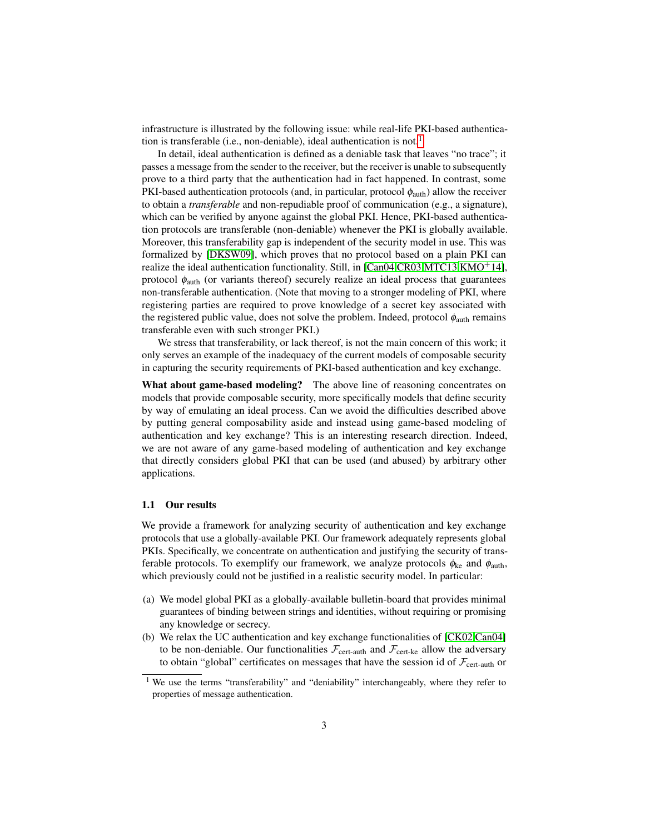infrastructure is illustrated by the following issue: while real-life PKI-based authentica-tion is transferable (i.e., non-deniable), ideal authentication is not.<sup>[1](#page-3-0)</sup>

In detail, ideal authentication is defined as a deniable task that leaves "no trace"; it passes a message from the sender to the receiver, but the receiver is unable to subsequently prove to a third party that the authentication had in fact happened. In contrast, some PKI-based authentication protocols (and, in particular, protocol  $\phi_{\text{auth}}$ ) allow the receiver to obtain a *transferable* and non-repudiable proof of communication (e.g., a signature), which can be verified by anyone against the global PKI. Hence, PKI-based authentication protocols are transferable (non-deniable) whenever the PKI is globally available. Moreover, this transferability gap is independent of the security model in use. This was formalized by [\[DKSW09\]](#page-29-8), which proves that no protocol based on a plain PKI can realize the ideal authentication functionality. Still, in [\[Can04](#page-28-1)[,CR03,](#page-29-4)[MTC13,](#page-29-5)[KMO](#page-29-6)+14], protocol  $\phi_{\text{auth}}$  (or variants thereof) securely realize an ideal process that guarantees non-transferable authentication. (Note that moving to a stronger modeling of PKI, where registering parties are required to prove knowledge of a secret key associated with the registered public value, does not solve the problem. Indeed, protocol  $\phi_{\text{auth}}$  remains transferable even with such stronger PKI.)

We stress that transferability, or lack thereof, is not the main concern of this work; it only serves an example of the inadequacy of the current models of composable security in capturing the security requirements of PKI-based authentication and key exchange.

What about game-based modeling? The above line of reasoning concentrates on models that provide composable security, more specifically models that define security by way of emulating an ideal process. Can we avoid the difficulties described above by putting general composability aside and instead using game-based modeling of authentication and key exchange? This is an interesting research direction. Indeed, we are not aware of any game-based modeling of authentication and key exchange that directly considers global PKI that can be used (and abused) by arbitrary other applications.

#### 1.1 Our results

We provide a framework for analyzing security of authentication and key exchange protocols that use a globally-available PKI. Our framework adequately represents global PKIs. Specifically, we concentrate on authentication and justifying the security of transferable protocols. To exemplify our framework, we analyze protocols  $\phi_{ke}$  and  $\phi_{auth}$ , which previously could not be justified in a realistic security model. In particular:

- (a) We model global PKI as a globally-available bulletin-board that provides minimal guarantees of binding between strings and identities, without requiring or promising any knowledge or secrecy.
- (b) We relax the UC authentication and key exchange functionalities of [\[CK02](#page-29-3)[,Can04\]](#page-28-1) to be non-deniable. Our functionalities  $\mathcal{F}_{\text{cert-auth}}$  and  $\mathcal{F}_{\text{cert-ke}}$  allow the adversary to obtain "global" certificates on messages that have the session id of  $\mathcal{F}_{\text{cert-auth}}$  or

<span id="page-3-0"></span><sup>&</sup>lt;sup>1</sup> We use the terms "transferability" and "deniability" interchangeably, where they refer to properties of message authentication.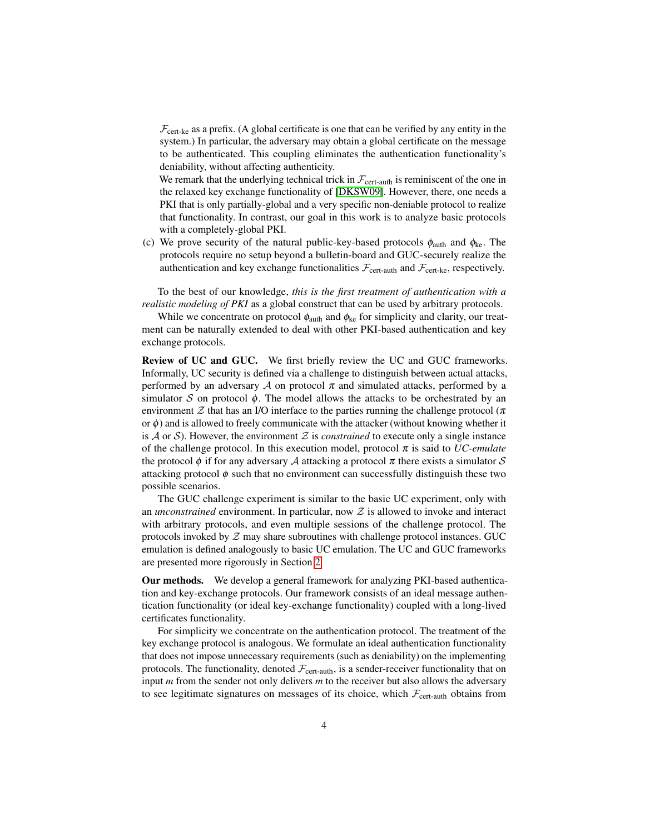$\mathcal{F}_{\text{cert-ke}}$  as a prefix. (A global certificate is one that can be verified by any entity in the system.) In particular, the adversary may obtain a global certificate on the message to be authenticated. This coupling eliminates the authentication functionality's deniability, without affecting authenticity.

We remark that the underlying technical trick in  $\mathcal{F}_{\text{cert-auth}}$  is reminiscent of the one in the relaxed key exchange functionality of [\[DKSW09\]](#page-29-8). However, there, one needs a PKI that is only partially-global and a very specific non-deniable protocol to realize that functionality. In contrast, our goal in this work is to analyze basic protocols with a completely-global PKI.

(c) We prove security of the natural public-key-based protocols  $\phi_{\text{auth}}$  and  $\phi_{\text{ke}}$ . The protocols require no setup beyond a bulletin-board and GUC-securely realize the authentication and key exchange functionalities  $\mathcal{F}_{\text{cert-auth}}$  and  $\mathcal{F}_{\text{cert-ke}}$ , respectively.

To the best of our knowledge, *this is the first treatment of authentication with a realistic modeling of PKI* as a global construct that can be used by arbitrary protocols.

While we concentrate on protocol  $\phi_{\text{auth}}$  and  $\phi_{\text{ke}}$  for simplicity and clarity, our treatment can be naturally extended to deal with other PKI-based authentication and key exchange protocols.

Review of UC and GUC. We first briefly review the UC and GUC frameworks. Informally, UC security is defined via a challenge to distinguish between actual attacks, performed by an adversary A on protocol  $\pi$  and simulated attacks, performed by a simulator S on protocol  $\phi$ . The model allows the attacks to be orchestrated by an environment  $\mathcal Z$  that has an I/O interface to the parties running the challenge protocol ( $\pi$ or  $\phi$ ) and is allowed to freely communicate with the attacker (without knowing whether it is A or S). However, the environment  $\mathcal Z$  is *constrained* to execute only a single instance of the challenge protocol. In this execution model, protocol  $\pi$  is said to *UC-emulate* the protocol  $\phi$  if for any adversary A attacking a protocol  $\pi$  there exists a simulator S attacking protocol  $\phi$  such that no environment can successfully distinguish these two possible scenarios.

The GUC challenge experiment is similar to the basic UC experiment, only with an *unconstrained* environment. In particular, now  $Z$  is allowed to invoke and interact with arbitrary protocols, and even multiple sessions of the challenge protocol. The protocols invoked by  $Z$  may share subroutines with challenge protocol instances. GUC emulation is defined analogously to basic UC emulation. The UC and GUC frameworks are presented more rigorously in Section [2.](#page-8-0)

Our methods. We develop a general framework for analyzing PKI-based authentication and key-exchange protocols. Our framework consists of an ideal message authentication functionality (or ideal key-exchange functionality) coupled with a long-lived certificates functionality.

For simplicity we concentrate on the authentication protocol. The treatment of the key exchange protocol is analogous. We formulate an ideal authentication functionality that does not impose unnecessary requirements (such as deniability) on the implementing protocols. The functionality, denoted  $\mathcal{F}_{\text{cert-auth}}$ , is a sender-receiver functionality that on input *m* from the sender not only delivers *m* to the receiver but also allows the adversary to see legitimate signatures on messages of its choice, which  $\mathcal{F}_{\text{cert-auth}}$  obtains from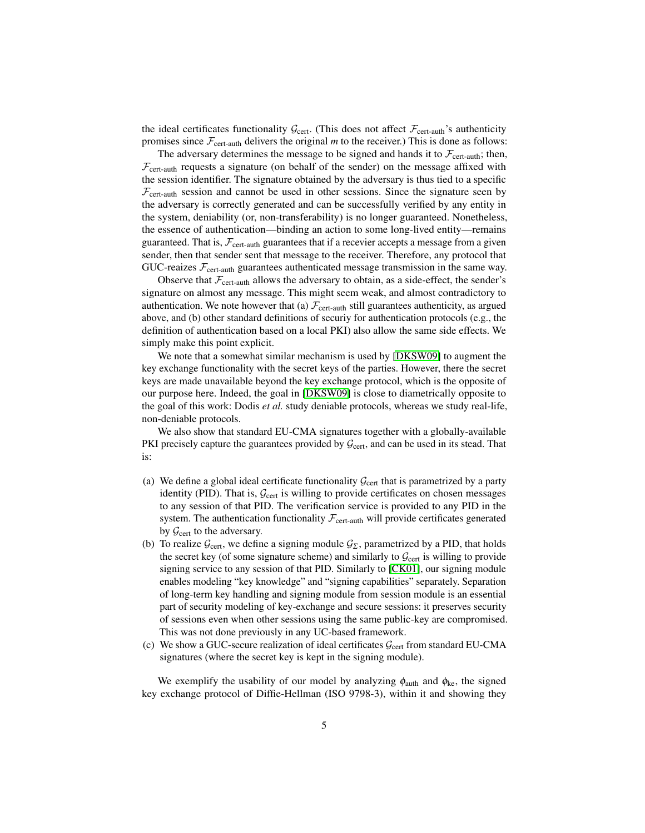the ideal certificates functionality  $\mathcal{G}_{\text{cert}}$ . (This does not affect  $\mathcal{F}_{\text{cert-auth}}$ 's authenticity promises since  $\mathcal{F}_{\text{cert-auth}}$  delivers the original *m* to the receiver.) This is done as follows:

The adversary determines the message to be signed and hands it to  $\mathcal{F}_{\text{cert-auth}}$ ; then,  $\mathcal{F}_{\text{cert-auth}}$  requests a signature (on behalf of the sender) on the message affixed with the session identifier. The signature obtained by the adversary is thus tied to a specific  $\mathcal{F}_{\text{cert-auth}}$  session and cannot be used in other sessions. Since the signature seen by the adversary is correctly generated and can be successfully verified by any entity in the system, deniability (or, non-transferability) is no longer guaranteed. Nonetheless, the essence of authentication—binding an action to some long-lived entity—remains guaranteed. That is,  $\mathcal{F}_{\text{cert-auth}}$  guarantees that if a recevier accepts a message from a given sender, then that sender sent that message to the receiver. Therefore, any protocol that GUC-reaizes  $\mathcal{F}_{\text{cert-auth}}$  guarantees authenticated message transmission in the same way.

Observe that  $\mathcal{F}_{\text{cert-auth}}$  allows the adversary to obtain, as a side-effect, the sender's signature on almost any message. This might seem weak, and almost contradictory to authentication. We note however that (a)  $\mathcal{F}_{\text{cert-auth}}$  still guarantees authenticity, as argued above, and (b) other standard definitions of securiy for authentication protocols (e.g., the definition of authentication based on a local PKI) also allow the same side effects. We simply make this point explicit.

We note that a somewhat similar mechanism is used by [\[DKSW09\]](#page-29-8) to augment the key exchange functionality with the secret keys of the parties. However, there the secret keys are made unavailable beyond the key exchange protocol, which is the opposite of our purpose here. Indeed, the goal in [\[DKSW09\]](#page-29-8) is close to diametrically opposite to the goal of this work: Dodis *et al.* study deniable protocols, whereas we study real-life, non-deniable protocols.

We also show that standard EU-CMA signatures together with a globally-available PKI precisely capture the guarantees provided by  $G_{\text{cert}}$ , and can be used in its stead. That is:

- (a) We define a global ideal certificate functionality  $G_{\text{cert}}$  that is parametrized by a party identity (PID). That is,  $\mathcal{G}_{\text{cert}}$  is willing to provide certificates on chosen messages to any session of that PID. The verification service is provided to any PID in the system. The authentication functionality  $\mathcal{F}_{\text{cert-auth}}$  will provide certificates generated by  $\mathcal{G}_{\text{cert}}$  to the adversary.
- (b) To realize  $G_{\text{cert}}$ , we define a signing module  $G_{\Sigma}$ , parametrized by a PID, that holds the secret key (of some signature scheme) and similarly to  $\mathcal{G}_{\text{cert}}$  is willing to provide signing service to any session of that PID. Similarly to [\[CK01\]](#page-28-0), our signing module enables modeling "key knowledge" and "signing capabilities" separately. Separation of long-term key handling and signing module from session module is an essential part of security modeling of key-exchange and secure sessions: it preserves security of sessions even when other sessions using the same public-key are compromised. This was not done previously in any UC-based framework.
- (c) We show a GUC-secure realization of ideal certificates  $G_{\text{cert}}$  from standard EU-CMA signatures (where the secret key is kept in the signing module).

We exemplify the usability of our model by analyzing  $\phi_{\text{auth}}$  and  $\phi_{\text{ke}}$ , the signed key exchange protocol of Diffie-Hellman (ISO 9798-3), within it and showing they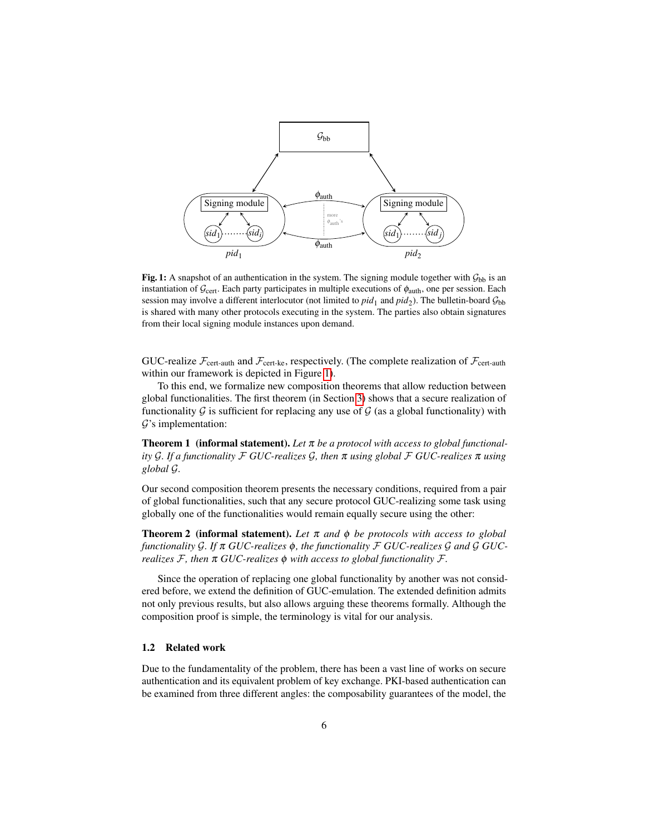<span id="page-6-0"></span>

Fig. 1: A snapshot of an authentication in the system. The signing module together with  $\mathcal{G}_{bb}$  is an instantiation of  $\mathcal{G}_{\text{cert}}$ . Each party participates in multiple executions of  $\phi_{\text{auth}}$ , one per session. Each session may involve a different interlocutor (not limited to  $pid_1$  and  $pid_2$ ). The bulletin-board  $\mathcal{G}_{bb}$ is shared with many other protocols executing in the system. The parties also obtain signatures from their local signing module instances upon demand.

GUC-realize  $\mathcal{F}_{\text{cert-auth}}$  and  $\mathcal{F}_{\text{cert-ke}}$ , respectively. (The complete realization of  $\mathcal{F}_{\text{cert-auth}}$ within our framework is depicted in Figure [1\)](#page-6-0).

To this end, we formalize new composition theorems that allow reduction between global functionalities. The first theorem (in Section [3\)](#page-11-0) shows that a secure realization of functionality  $\mathcal G$  is sufficient for replacing any use of  $\mathcal G$  (as a global functionality) with  $\mathcal{G}'$ 's implementation:

Theorem 1 (informal statement). *Let* π *be a protocol with access to global functionality* G*. If a functionality* F *GUC-realizes* G*, then* π *using global* F *GUC-realizes* π *using global* G*.*

Our second composition theorem presents the necessary conditions, required from a pair of global functionalities, such that any secure protocol GUC-realizing some task using globally one of the functionalities would remain equally secure using the other:

**Theorem 2 (informal statement).** Let  $\pi$  and  $\phi$  be protocols with access to global *functionality* G*. If* π *GUC-realizes* φ*, the functionality* F *GUC-realizes* G *and* G *GUCrealizes* F*, then* π *GUC-realizes* φ *with access to global functionality* F*.*

Since the operation of replacing one global functionality by another was not considered before, we extend the definition of GUC-emulation. The extended definition admits not only previous results, but also allows arguing these theorems formally. Although the composition proof is simple, the terminology is vital for our analysis.

### 1.2 Related work

Due to the fundamentality of the problem, there has been a vast line of works on secure authentication and its equivalent problem of key exchange. PKI-based authentication can be examined from three different angles: the composability guarantees of the model, the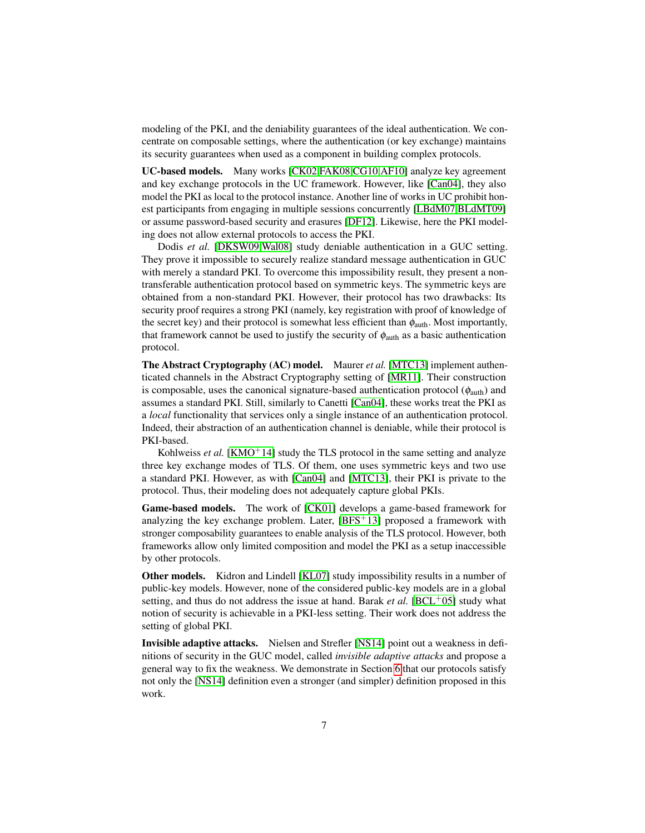modeling of the PKI, and the deniability guarantees of the ideal authentication. We concentrate on composable settings, where the authentication (or key exchange) maintains its security guarantees when used as a component in building complex protocols.

UC-based models. Many works [\[CK02](#page-29-3)[,FAK08,](#page-29-10)[CG10](#page-28-4)[,AF10\]](#page-28-5) analyze key agreement and key exchange protocols in the UC framework. However, like [\[Can04\]](#page-28-1), they also model the PKI as local to the protocol instance. Another line of works in UC prohibit honest participants from engaging in multiple sessions concurrently [\[LBdM07,](#page-29-11)[BLdMT09\]](#page-28-6) or assume password-based security and erasures [\[DF12\]](#page-29-12). Likewise, here the PKI modeling does not allow external protocols to access the PKI.

Dodis *et al.* [\[DKSW09,](#page-29-8)[Wal08\]](#page-29-9) study deniable authentication in a GUC setting. They prove it impossible to securely realize standard message authentication in GUC with merely a standard PKI. To overcome this impossibility result, they present a nontransferable authentication protocol based on symmetric keys. The symmetric keys are obtained from a non-standard PKI. However, their protocol has two drawbacks: Its security proof requires a strong PKI (namely, key registration with proof of knowledge of the secret key) and their protocol is somewhat less efficient than  $\phi$ <sub>auth</sub>. Most importantly, that framework cannot be used to justify the security of  $\phi_{\text{auth}}$  as a basic authentication protocol.

The Abstract Cryptography (AC) model. Maurer *et al.* [\[MTC13\]](#page-29-5) implement authenticated channels in the Abstract Cryptography setting of [\[MR11\]](#page-29-7). Their construction is composable, uses the canonical signature-based authentication protocol ( $\phi_{\text{auth}}$ ) and assumes a standard PKI. Still, similarly to Canetti [\[Can04\]](#page-28-1), these works treat the PKI as a *local* functionality that services only a single instance of an authentication protocol. Indeed, their abstraction of an authentication channel is deniable, while their protocol is PKI-based.

Kohlweiss *et al.* [\[KMO](#page-29-6)<sup>+</sup>14] study the TLS protocol in the same setting and analyze three key exchange modes of TLS. Of them, one uses symmetric keys and two use a standard PKI. However, as with [\[Can04\]](#page-28-1) and [\[MTC13\]](#page-29-5), their PKI is private to the protocol. Thus, their modeling does not adequately capture global PKIs.

Game-based models. The work of [\[CK01\]](#page-28-0) develops a game-based framework for analyzing the key exchange problem. Later,  $[BFS^+13]$  $[BFS^+13]$  proposed a framework with stronger composability guarantees to enable analysis of the TLS protocol. However, both frameworks allow only limited composition and model the PKI as a setup inaccessible by other protocols.

Other models. Kidron and Lindell [\[KL07\]](#page-29-13) study impossibility results in a number of public-key models. However, none of the considered public-key models are in a global setting, and thus do not address the issue at hand. Barak *et al.* [\[BCL](#page-28-8)<sup>+</sup>05] study what notion of security is achievable in a PKI-less setting. Their work does not address the setting of global PKI.

Invisible adaptive attacks. Nielsen and Strefler [\[NS14\]](#page-29-14) point out a weakness in definitions of security in the GUC model, called *invisible adaptive attacks* and propose a general way to fix the weakness. We demonstrate in Section [6](#page-27-0) that our protocols satisfy not only the [\[NS14\]](#page-29-14) definition even a stronger (and simpler) definition proposed in this work.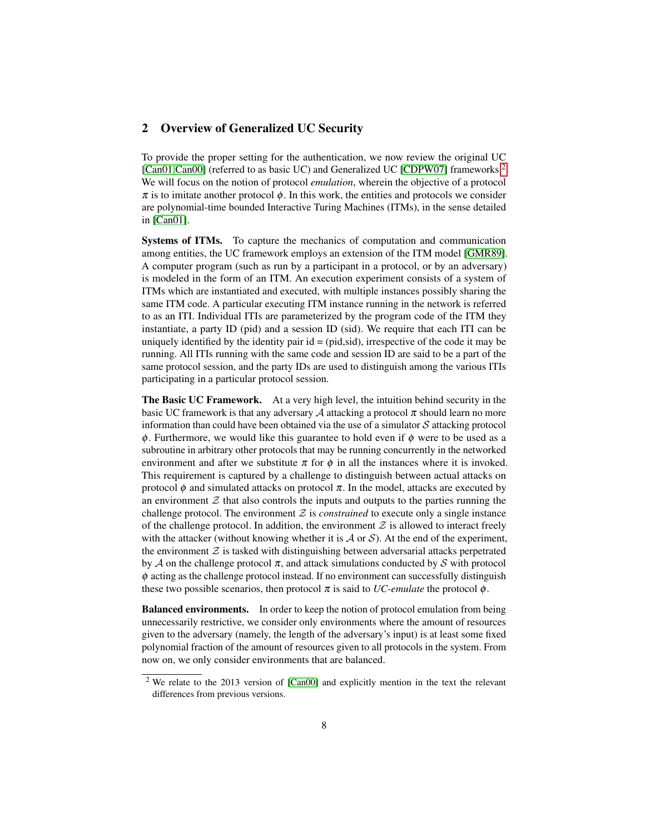# <span id="page-8-0"></span>2 Overview of Generalized UC Security

To provide the proper setting for the authentication, we now review the original UC [\[Can01](#page-28-2)[,Can00\]](#page-28-9) (referred to as basic UC) and Generalized UC [\[CDPW07\]](#page-28-3) frameworks.<sup>[2](#page-8-1)</sup> We will focus on the notion of protocol *emulation*, wherein the objective of a protocol  $\pi$  is to imitate another protocol  $\phi$ . In this work, the entities and protocols we consider are polynomial-time bounded Interactive Turing Machines (ITMs), in the sense detailed in [\[Can01\]](#page-28-2).

Systems of ITMs. To capture the mechanics of computation and communication among entities, the UC framework employs an extension of the ITM model [\[GMR89\]](#page-29-15). A computer program (such as run by a participant in a protocol, or by an adversary) is modeled in the form of an ITM. An execution experiment consists of a system of ITMs which are instantiated and executed, with multiple instances possibly sharing the same ITM code. A particular executing ITM instance running in the network is referred to as an ITI. Individual ITIs are parameterized by the program code of the ITM they instantiate, a party ID (pid) and a session ID (sid). We require that each ITI can be uniquely identified by the identity pair  $id = (pid,sid)$ , irrespective of the code it may be running. All ITIs running with the same code and session ID are said to be a part of the same protocol session, and the party IDs are used to distinguish among the various ITIs participating in a particular protocol session.

The Basic UC Framework. At a very high level, the intuition behind security in the basic UC framework is that any adversary A attacking a protocol  $\pi$  should learn no more information than could have been obtained via the use of a simulator  $S$  attacking protocol  $\phi$ . Furthermore, we would like this guarantee to hold even if  $\phi$  were to be used as a subroutine in arbitrary other protocols that may be running concurrently in the networked environment and after we substitute  $\pi$  for  $\phi$  in all the instances where it is invoked. This requirement is captured by a challenge to distinguish between actual attacks on protocol φ and simulated attacks on protocol π. In the model, attacks are executed by an environment  $Z$  that also controls the inputs and outputs to the parties running the challenge protocol. The environment  $Z$  is *constrained* to execute only a single instance of the challenge protocol. In addition, the environment  $\mathcal Z$  is allowed to interact freely with the attacker (without knowing whether it is  $\mathcal A$  or  $\mathcal S$ ). At the end of the experiment, the environment  $Z$  is tasked with distinguishing between adversarial attacks perpetrated by A on the challenge protocol  $\pi$ , and attack simulations conducted by S with protocol  $\phi$  acting as the challenge protocol instead. If no environment can successfully distinguish these two possible scenarios, then protocol  $\pi$  is said to *UC-emulate* the protocol  $\phi$ .

Balanced environments. In order to keep the notion of protocol emulation from being unnecessarily restrictive, we consider only environments where the amount of resources given to the adversary (namely, the length of the adversary's input) is at least some fixed polynomial fraction of the amount of resources given to all protocols in the system. From now on, we only consider environments that are balanced.

<span id="page-8-1"></span><sup>&</sup>lt;sup>2</sup> We relate to the 2013 version of [\[Can00\]](#page-28-9) and explicitly mention in the text the relevant differences from previous versions.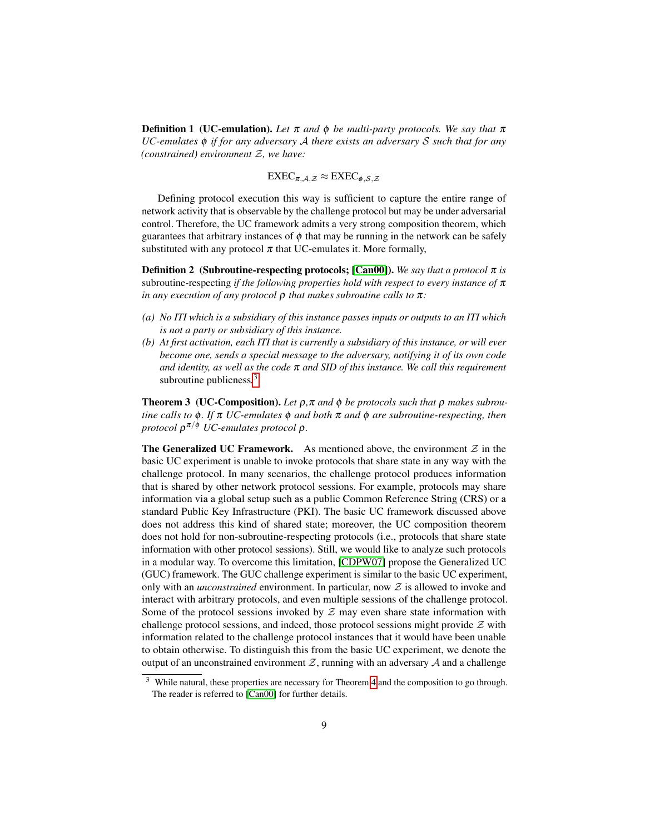**Definition 1 (UC-emulation).** Let  $\pi$  and  $\phi$  be multi-party protocols. We say that  $\pi$ *UC-emulates* φ *if for any adversary* A *there exists an adversary* S *such that for any (constrained) environment* Z*, we have:*

$$
\text{EXEC}_{\pi,\mathcal{A},\mathcal{Z}} \approx \text{EXEC}_{\phi,\mathcal{S},\mathcal{Z}}
$$

Defining protocol execution this way is sufficient to capture the entire range of network activity that is observable by the challenge protocol but may be under adversarial control. Therefore, the UC framework admits a very strong composition theorem, which guarantees that arbitrary instances of  $\phi$  that may be running in the network can be safely substituted with any protocol  $\pi$  that UC-emulates it. More formally,

<span id="page-9-1"></span>Definition 2 (Subroutine-respecting protocols; [\[Can00\]](#page-28-9)). *We say that a protocol* π *is* subroutine-respecting *if the following properties hold with respect to every instance of* π *in any execution of any protocol* ρ *that makes subroutine calls to* π*:*

- *(a) No ITI which is a subsidiary of this instance passes inputs or outputs to an ITI which is not a party or subsidiary of this instance.*
- *(b) At first activation, each ITI that is currently a subsidiary of this instance, or will ever become one, sends a special message to the adversary, notifying it of its own code and identity, as well as the code* π *and SID of this instance. We call this requirement* subroutine publicness*.* [3](#page-9-0)

Theorem 3 (UC-Composition). *Let* ρ*,*π *and* φ *be protocols such that* ρ *makes subroutine calls to* φ*. If* π *UC-emulates* φ *and both* π *and* φ *are subroutine-respecting, then protocol* ρ <sup>π</sup>/<sup>φ</sup> *UC-emulates protocol* ρ*.*

**The Generalized UC Framework.** As mentioned above, the environment  $Z$  in the basic UC experiment is unable to invoke protocols that share state in any way with the challenge protocol. In many scenarios, the challenge protocol produces information that is shared by other network protocol sessions. For example, protocols may share information via a global setup such as a public Common Reference String (CRS) or a standard Public Key Infrastructure (PKI). The basic UC framework discussed above does not address this kind of shared state; moreover, the UC composition theorem does not hold for non-subroutine-respecting protocols (i.e., protocols that share state information with other protocol sessions). Still, we would like to analyze such protocols in a modular way. To overcome this limitation, [\[CDPW07\]](#page-28-3) propose the Generalized UC (GUC) framework. The GUC challenge experiment is similar to the basic UC experiment, only with an *unconstrained* environment. In particular, now  $\mathcal Z$  is allowed to invoke and interact with arbitrary protocols, and even multiple sessions of the challenge protocol. Some of the protocol sessions invoked by  $Z$  may even share state information with challenge protocol sessions, and indeed, those protocol sessions might provide  $Z$  with information related to the challenge protocol instances that it would have been unable to obtain otherwise. To distinguish this from the basic UC experiment, we denote the output of an unconstrained environment  $\mathcal{Z}$ , running with an adversary  $\mathcal{A}$  and a challenge

<span id="page-9-0"></span><sup>&</sup>lt;sup>3</sup> While natural, these properties are necessary for Theorem [4](#page-11-1) and the composition to go through. The reader is referred to [\[Can00\]](#page-28-9) for further details.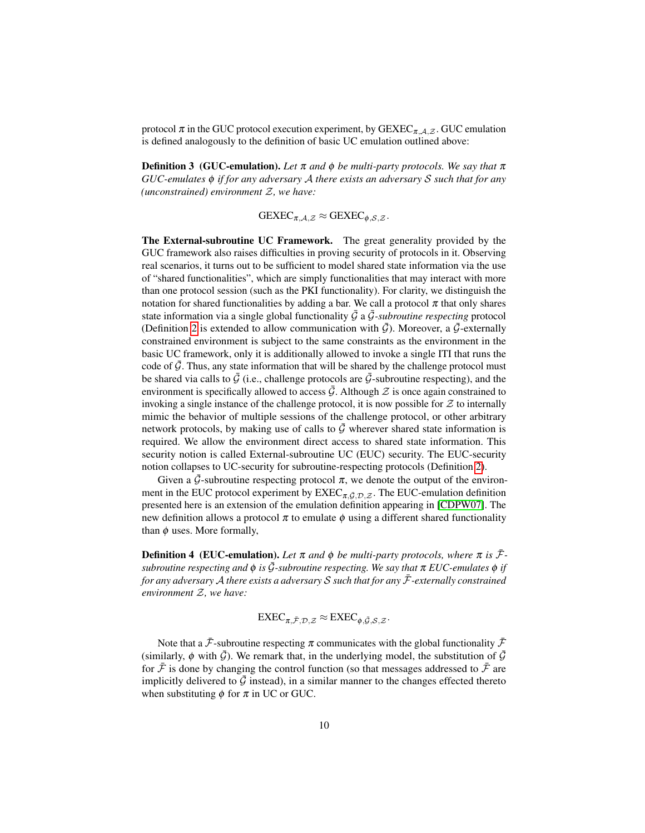protocol  $\pi$  in the GUC protocol execution experiment, by GEXEC $_{\pi,A,\mathcal{Z}}$ . GUC emulation is defined analogously to the definition of basic UC emulation outlined above:

Definition 3 (GUC-emulation). *Let* π *and* φ *be multi-party protocols. We say that* π *GUC-emulates* φ *if for any adversary* A *there exists an adversary* S *such that for any (unconstrained) environment* Z*, we have:*

 $GEXEC_{\pi,\mathcal{A},\mathcal{Z}} \approx GEXEC_{\phi,\mathcal{S},\mathcal{Z}}$ .

The External-subroutine UC Framework. The great generality provided by the GUC framework also raises difficulties in proving security of protocols in it. Observing real scenarios, it turns out to be sufficient to model shared state information via the use of "shared functionalities", which are simply functionalities that may interact with more than one protocol session (such as the PKI functionality). For clarity, we distinguish the notation for shared functionalities by adding a bar. We call a protocol  $\pi$  that only shares state information via a single global functionality  $\bar{G}$  a  $\bar{G}$ -*subroutine respecting* protocol (Definition [2](#page-9-1) is extended to allow communication with  $\bar{G}$ ). Moreover, a  $\bar{G}$ -externally constrained environment is subject to the same constraints as the environment in the basic UC framework, only it is additionally allowed to invoke a single ITI that runs the code of  $\tilde{G}$ . Thus, any state information that will be shared by the challenge protocol must be shared via calls to  $\bar{G}$  (i.e., challenge protocols are  $\bar{G}$ -subroutine respecting), and the environment is specifically allowed to access  $\bar{G}$ . Although  $\bar{Z}$  is once again constrained to invoking a single instance of the challenge protocol, it is now possible for  $Z$  to internally mimic the behavior of multiple sessions of the challenge protocol, or other arbitrary network protocols, by making use of calls to  $\bar{G}$  wherever shared state information is required. We allow the environment direct access to shared state information. This security notion is called External-subroutine UC (EUC) security. The EUC-security notion collapses to UC-security for subroutine-respecting protocols (Definition [2\)](#page-9-1).

Given a  $\bar{G}$ -subroutine respecting protocol  $\pi$ , we denote the output of the environment in the EUC protocol experiment by  $\text{EXEC}_{\pi, \bar{G}, \mathcal{D}, \mathcal{Z}}$ . The EUC-emulation definition presented here is an extension of the emulation definition appearing in [\[CDPW07\]](#page-28-3). The new definition allows a protocol  $\pi$  to emulate  $\phi$  using a different shared functionality than  $\phi$  uses. More formally,

**Definition 4** (EUC-emulation). Let  $\pi$  and  $\phi$  be multi-party protocols, where  $\pi$  is  $\bar{\mathcal{F}}$ *subroutine respecting and* φ *is* G¯*-subroutine respecting. We say that* π *EUC-emulates* φ *if for any adversary* A *there exists a adversary* S *such that for any* F¯*-externally constrained environment* Z*, we have:*

$$
\text{EXEC}_{\pi,\bar{\mathcal{F}},\mathcal{D},\mathcal{Z}} \approx \text{EXEC}_{\phi,\bar{\mathcal{G}},\mathcal{S},\mathcal{Z}}.
$$

Note that a  $\bar{\mathcal{F}}$ -subroutine respecting  $\pi$  communicates with the global functionality  $\bar{\mathcal{F}}$ (similarly,  $\phi$  with  $\bar{G}$ ). We remark that, in the underlying model, the substitution of  $\bar{G}$ for  $\bar{\mathcal{F}}$  is done by changing the control function (so that messages addressed to  $\bar{\mathcal{F}}$  are implicitly delivered to  $\bar{G}$  instead), in a similar manner to the changes effected thereto when substituting  $\phi$  for  $\pi$  in UC or GUC.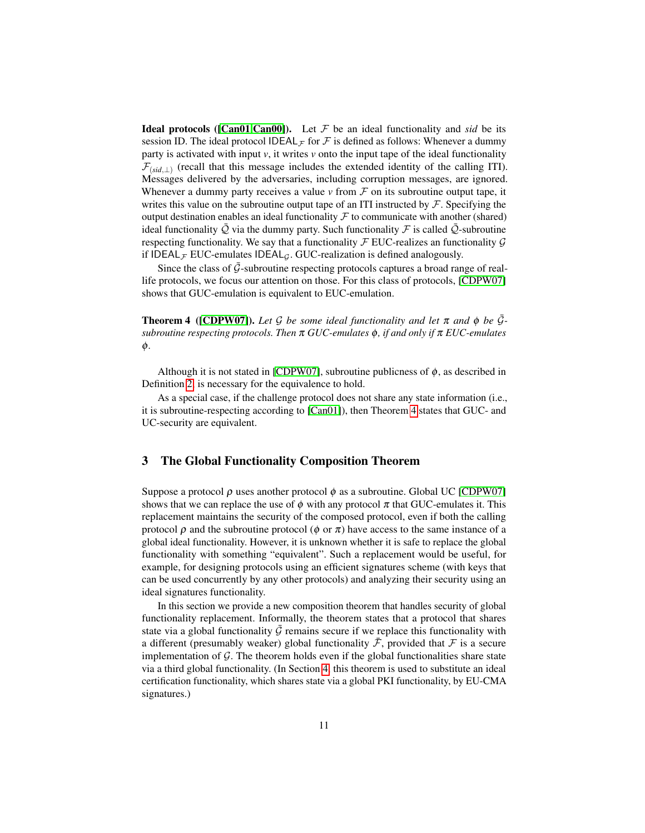**Ideal protocols ([\[Can01,](#page-28-2)[Can00\]](#page-28-9)).** Let  $\mathcal F$  be an ideal functionality and *sid* be its session ID. The ideal protocol IDEAL<sub>F</sub> for F is defined as follows: Whenever a dummy party is activated with input  $v$ , it writes  $v$  onto the input tape of the ideal functionality  $\mathcal{F}_{\text{(sid,⊥)}}$  (recall that this message includes the extended identity of the calling ITI). Messages delivered by the adversaries, including corruption messages, are ignored. Whenever a dummy party receives a value  $\nu$  from  $\mathcal F$  on its subroutine output tape, it writes this value on the subroutine output tape of an ITI instructed by  $\mathcal F$ . Specifying the output destination enables an ideal functionality  $\mathcal F$  to communicate with another (shared) ideal functionality Q via the dummy party. Such functionality F is called Q-subroutine respecting functionality. We say that a functionality  $\mathcal F$  EUC-realizes an functionality  $\mathcal G$ if IDEAL<sub>F</sub> EUC-emulates IDEAL<sub>G</sub>. GUC-realization is defined analogously.

Since the class of  $\bar{G}$ -subroutine respecting protocols captures a broad range of reallife protocols, we focus our attention on those. For this class of protocols, [\[CDPW07\]](#page-28-3) shows that GUC-emulation is equivalent to EUC-emulation.

<span id="page-11-1"></span>**Theorem 4** ([\[CDPW07\]](#page-28-3)). Let G be some ideal functionality and let  $\pi$  and  $\phi$  be  $\overline{G}$ *subroutine respecting protocols. Then* π *GUC-emulates* φ*, if and only if* π *EUC-emulates* φ*.*

Although it is not stated in [\[CDPW07\]](#page-28-3), subroutine publicness of  $\phi$ , as described in Definition [2,](#page-9-1) is necessary for the equivalence to hold.

As a special case, if the challenge protocol does not share any state information (i.e., it is subroutine-respecting according to [\[Can01\]](#page-28-2)), then Theorem [4](#page-11-1) states that GUC- and UC-security are equivalent.

## <span id="page-11-0"></span>3 The Global Functionality Composition Theorem

Suppose a protocol  $\rho$  uses another protocol  $\phi$  as a subroutine. Global UC [\[CDPW07\]](#page-28-3) shows that we can replace the use of  $\phi$  with any protocol  $\pi$  that GUC-emulates it. This replacement maintains the security of the composed protocol, even if both the calling protocol  $\rho$  and the subroutine protocol ( $\phi$  or  $\pi$ ) have access to the same instance of a global ideal functionality. However, it is unknown whether it is safe to replace the global functionality with something "equivalent". Such a replacement would be useful, for example, for designing protocols using an efficient signatures scheme (with keys that can be used concurrently by any other protocols) and analyzing their security using an ideal signatures functionality.

<span id="page-11-2"></span>In this section we provide a new composition theorem that handles security of global functionality replacement. Informally, the theorem states that a protocol that shares state via a global functionality  $\bar{G}$  remains secure if we replace this functionality with a different (presumably weaker) global functionality  $\bar{\mathcal{F}}$ , provided that  $\mathcal F$  is a secure implementation of  $G$ . The theorem holds even if the global functionalities share state via a third global functionality. (In Section [4,](#page-14-0) this theorem is used to substitute an ideal certification functionality, which shares state via a global PKI functionality, by EU-CMA signatures.)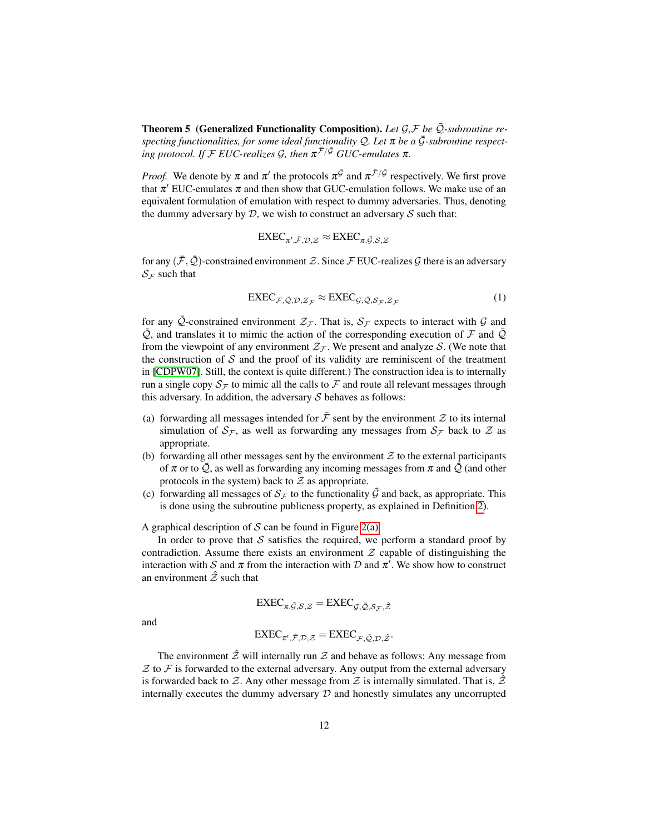**Theorem 5** (Generalized Functionality Composition). Let  $\mathcal{G}, \mathcal{F}$  be  $\bar{\mathcal{Q}}$ -subroutine respecting functionalities, for some ideal functionality  $Q$ . Let  $\pi$  be a  $\tilde{Q}$ -subroutine respect*ing protocol. If F EUC-realizes G, then*  $\pi^{\bar{\mathcal{F}}/\bar{G}}$  *GUC-emulates* π.

*Proof.* We denote by  $\pi$  and  $\pi'$  the protocols  $\pi^{\bar{G}}$  and  $\pi^{\bar{\mathcal{F}}/\bar{G}}$  respectively. We first prove that  $\pi'$  EUC-emulates  $\pi$  and then show that GUC-emulation follows. We make use of an equivalent formulation of emulation with respect to dummy adversaries. Thus, denoting the dummy adversary by  $D$ , we wish to construct an adversary  $S$  such that:

<span id="page-12-0"></span>
$$
\text{EXEC}_{\pi',\bar{\mathcal{F}},\mathcal{D},\mathcal{Z}} \approx \text{EXEC}_{\pi,\bar{\mathcal{G}},\mathcal{S},\mathcal{Z}}
$$

for any  $(\bar{\mathcal{F}}, \bar{\mathcal{Q}})$ -constrained environment Z. Since  $\mathcal{F}$  EUC-realizes  $\mathcal{G}$  there is an adversary  $S_F$  such that

$$
\text{EXEC}_{\mathcal{F}, \bar{\mathcal{Q}}, \mathcal{D}, \mathcal{Z}_{\mathcal{F}}} \approx \text{EXEC}_{\mathcal{G}, \bar{\mathcal{Q}}, \mathcal{S}_{\mathcal{F}}, \mathcal{Z}_{\mathcal{F}}} \tag{1}
$$

for any Q-constrained environment  $\mathcal{Z}_\mathcal{F}$ . That is,  $\mathcal{S}_\mathcal{F}$  expects to interact with G and  $\overline{Q}$ , and translates it to mimic the action of the corresponding execution of F and  $\overline{Q}$ from the viewpoint of any environment  $\mathcal{Z}_{\mathcal{F}}$ . We present and analyze S. (We note that the construction of  $S$  and the proof of its validity are reminiscent of the treatment in [\[CDPW07\]](#page-28-3). Still, the context is quite different.) The construction idea is to internally run a single copy  $S_F$  to mimic all the calls to F and route all relevant messages through this adversary. In addition, the adversary  $S$  behaves as follows:

- (a) forwarding all messages intended for  $\bar{\mathcal{F}}$  sent by the environment  $\mathcal Z$  to its internal simulation of  $S_{\mathcal{F}}$ , as well as forwarding any messages from  $S_{\mathcal{F}}$  back to  $\mathcal Z$  as appropriate.
- (b) forwarding all other messages sent by the environment  $Z$  to the external participants of  $\pi$  or to  $\bar{Q}$ , as well as forwarding any incoming messages from  $\pi$  and  $\bar{Q}$  (and other protocols in the system) back to  $Z$  as appropriate.
- (c) forwarding all messages of  $S_F$  to the functionality  $\bar{G}$  and back, as appropriate. This is done using the subroutine publicness property, as explained in Definition [2\)](#page-9-1).

A graphical description of S can be found in Figure [2\(a\).](#page-13-0)

In order to prove that  $S$  satisfies the required, we perform a standard proof by contradiction. Assume there exists an environment  $Z$  capable of distinguishing the interaction with S and  $\pi$  from the interaction with D and  $\pi'$ . We show how to construct an environment  $\hat{z}$  such that

$$
\text{EXEC}_{\pi,\bar{\mathcal{G}},\mathcal{S},\mathcal{Z}} = \text{EXEC}_{\mathcal{G},\bar{\mathcal{Q}},\mathcal{S}_{\mathcal{F}},\hat{\mathcal{Z}}}
$$

and

$$
\mathrm{EXEC}_{\pi',\bar{\mathcal{F}},\mathcal{D},\mathcal{Z}}=\mathrm{EXEC}_{\mathcal{F},\bar{\mathcal{Q}},\mathcal{D},\hat{\mathcal{Z}}}.
$$

The environment  $\hat{Z}$  will internally run  $Z$  and behave as follows: Any message from  $Z$  to  $\mathcal F$  is forwarded to the external adversary. Any output from the external adversary is forwarded back to Z. Any other message from Z is internally simulated. That is,  $\hat{Z}$ internally executes the dummy adversary  $D$  and honestly simulates any uncorrupted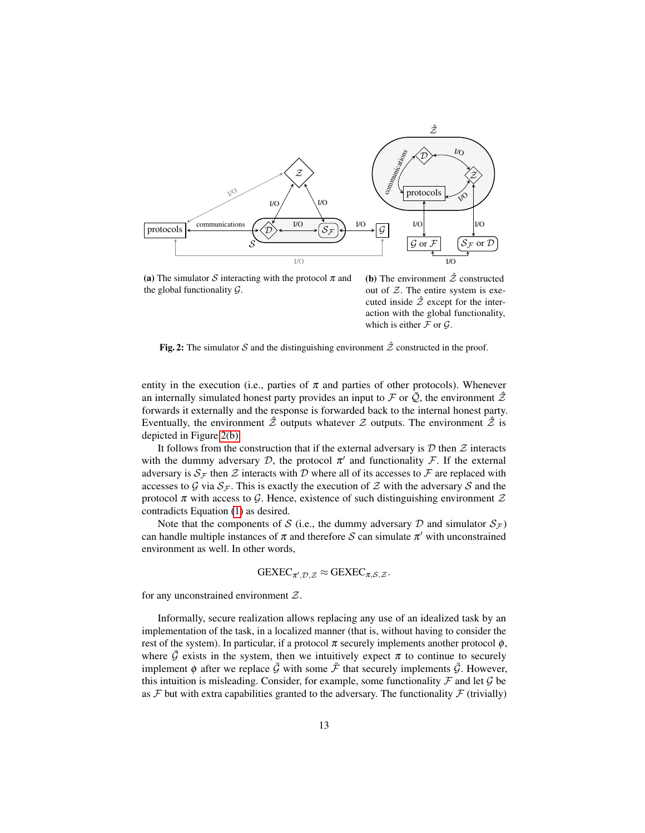<span id="page-13-0"></span>

(a) The simulator S interacting with the protocol  $\pi$  and the global functionality  $G$ .

(b) The environment  $\hat{z}$  constructed out of  $Z$ . The entire system is executed inside  $\hat{z}$  except for the interaction with the global functionality, which is either  $\mathcal F$  or  $\mathcal G$ .

Fig. 2: The simulator S and the distinguishing environment  $\hat{z}$  constructed in the proof.

entity in the execution (i.e., parties of  $\pi$  and parties of other protocols). Whenever an internally simulated honest party provides an input to  $\mathcal F$  or  $\bar{\mathcal Q}$ , the environment  $\hat{\mathcal Z}$ forwards it externally and the response is forwarded back to the internal honest party. Eventually, the environment  $\hat{Z}$  outputs whatever  $Z$  outputs. The environment  $\hat{Z}$  is depicted in Figure [2\(b\).](#page-13-0)

It follows from the construction that if the external adversary is  $D$  then  $Z$  interacts with the dummy adversary  $D$ , the protocol  $\pi'$  and functionality  $\mathcal F$ . If the external adversary is  $S_F$  then Z interacts with D where all of its accesses to F are replaced with accesses to G via  $S_{\mathcal{F}}$ . This is exactly the execution of Z with the adversary S and the protocol  $\pi$  with access to G. Hence, existence of such distinguishing environment  $\mathcal Z$ contradicts Equation [\(1\)](#page-12-0) as desired.

Note that the components of S (i.e., the dummy adversary D and simulator  $S_F$ ) can handle multiple instances of  $\pi$  and therefore  $\mathcal S$  can simulate  $\pi'$  with unconstrained environment as well. In other words,

$$
GEXEC_{\pi',\mathcal{D},\mathcal{Z}} \approx GEXEC_{\pi,\mathcal{S},\mathcal{Z}}.
$$

for any unconstrained environment  $Z$ .

Informally, secure realization allows replacing any use of an idealized task by an implementation of the task, in a localized manner (that is, without having to consider the rest of the system). In particular, if a protocol  $\pi$  securely implements another protocol  $\phi$ , where  $\bar{G}$  exists in the system, then we intuitively expect  $\pi$  to continue to securely implement  $\phi$  after we replace  $\bar{\mathcal{G}}$  with some  $\bar{\mathcal{F}}$  that securely implements  $\bar{\mathcal{G}}$ . However, this intuition is misleading. Consider, for example, some functionality  $\mathcal F$  and let  $\mathcal G$  be as  $\mathcal F$  but with extra capabilities granted to the adversary. The functionality  $\mathcal F$  (trivially)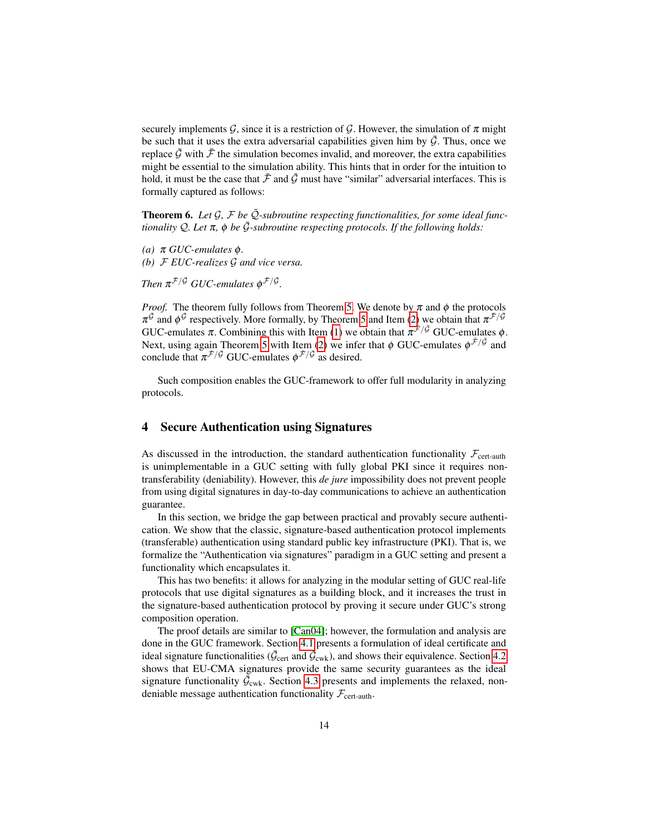securely implements G, since it is a restriction of G. However, the simulation of  $\pi$  might be such that it uses the extra adversarial capabilities given him by  $\tilde{G}$ . Thus, once we replace  $\bar{\mathcal{G}}$  with  $\bar{\mathcal{F}}$  the simulation becomes invalid, and moreover, the extra capabilities might be essential to the simulation ability. This hints that in order for the intuition to hold, it must be the case that  $\bar{\mathcal{F}}$  and  $\bar{\mathcal{G}}$  must have "similar" adversarial interfaces. This is formally captured as follows:

**Theorem 6.** Let  $\mathcal{G}, \mathcal{F}$  be  $\bar{\mathcal{Q}}$ -subroutine respecting functionalities, for some ideal func*tionality*  $Q$ *. Let*  $π$ *,*  $φ$  *be*  $\bar{G}$ *-subroutine respecting protocols. If the following holds:* 

<span id="page-14-2"></span><span id="page-14-1"></span>*(a)*  $π$  *GUC-emulates*  $φ$ *. (b)* F *EUC-realizes* G *and vice versa.*

Then  $\pi^{\bar{\mathcal{F}}/\bar{\mathcal{G}}}$  *GUC-emulates*  $\phi^{\bar{\mathcal{F}}/\bar{\mathcal{G}}}$ *.* 

*Proof.* The theorem fully follows from Theorem [5.](#page-11-2) We denote by  $\pi$  and  $\phi$  the protocols  $\pi^{\bar{G}}$  and  $\phi^{\bar{G}}$  respectively. More formally, by Theorem [5](#page-11-2) and Item [\(2\)](#page-14-1) we obtain that  $\pi^{\bar{\mathcal{F}}/\bar{G}}$ GUC-emulates  $\pi$ . Combining this with Item [\(1\)](#page-14-2) we obtain that  $\pi^{\bar{\mathcal{F}}/\mathcal{G}}$  GUC-emulates  $\phi$ . Next, using again Theorem [5](#page-11-2) with Item [\(2\)](#page-14-1) we infer that  $\phi$  GUC-emulates  $\phi^{\bar{\mathcal{F}}/\bar{\mathcal{G}}}$  and conclude that  $\pi^{\bar{\mathcal{F}}/\bar{\mathcal{G}}}$  GUC-emulates  $\phi^{\bar{\mathcal{F}}/\bar{\mathcal{G}}}$  as desired.

Such composition enables the GUC-framework to offer full modularity in analyzing protocols.

### <span id="page-14-0"></span>4 Secure Authentication using Signatures

As discussed in the introduction, the standard authentication functionality  $\mathcal{F}_{\text{cert-auth}}$ is unimplementable in a GUC setting with fully global PKI since it requires nontransferability (deniability). However, this *de jure* impossibility does not prevent people from using digital signatures in day-to-day communications to achieve an authentication guarantee.

In this section, we bridge the gap between practical and provably secure authentication. We show that the classic, signature-based authentication protocol implements (transferable) authentication using standard public key infrastructure (PKI). That is, we formalize the "Authentication via signatures" paradigm in a GUC setting and present a functionality which encapsulates it.

This has two benefits: it allows for analyzing in the modular setting of GUC real-life protocols that use digital signatures as a building block, and it increases the trust in the signature-based authentication protocol by proving it secure under GUC's strong composition operation.

The proof details are similar to [\[Can04\]](#page-28-1); however, the formulation and analysis are done in the GUC framework. Section [4.1](#page-15-0) presents a formulation of ideal certificate and ideal signature functionalities ( $\bar{\mathcal{G}}_{\text{cert}}$  and  $\bar{\mathcal{G}}_{\text{cwk}}$ ), and shows their equivalence. Section [4.2](#page-20-0) shows that EU-CMA signatures provide the same security guarantees as the ideal signature functionality  $\bar{\mathcal{G}}_{\text{cwk}}$ . Section [4.3](#page-22-0) presents and implements the relaxed, nondeniable message authentication functionality  $\mathcal{F}_{\text{cert-auth}}$ .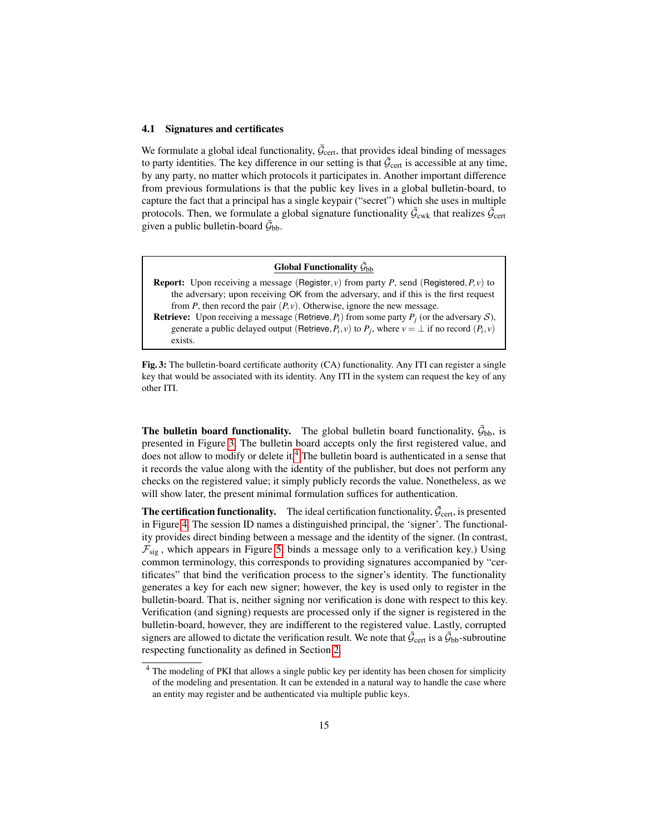#### <span id="page-15-0"></span>4.1 Signatures and certificates

We formulate a global ideal functionality,  $\bar{\mathcal{G}}_{\text{cert}}$ , that provides ideal binding of messages to party identities. The key difference in our setting is that  $\bar{\mathcal{G}}_{\text{cert}}$  is accessible at any time, by any party, no matter which protocols it participates in. Another important difference from previous formulations is that the public key lives in a global bulletin-board, to capture the fact that a principal has a single keypair ("secret") which she uses in multiple protocols. Then, we formulate a global signature functionality  $\bar{G}_{\text{cwk}}$  that realizes  $\bar{G}_{\text{cert}}$ given a public bulletin-board  $\bar{\mathcal{G}}_{bb}$ .

# Global Functionality  $\bar{\mathcal{G}}_{\mathsf{bb}}$

<span id="page-15-1"></span>**Report:** Upon receiving a message (Register, *v*) from party *P*, send (Registered, *P*, *v*) to the adversary; upon receiving OK from the adversary, and if this is the first request from *P*, then record the pair  $(P, v)$ . Otherwise, ignore the new message. **Retrieve:** Upon receiving a message (Retrieve,  $P_i$ ) from some party  $P_i$  (or the adversary  $S$ ), generate a public delayed output (Retrieve,  $P_i$ ,  $v$ ) to  $P_j$ , where  $v = \perp$  if no record  $(P_i, v)$ exists.

Fig. 3: The bulletin-board certificate authority (CA) functionality. Any ITI can register a single key that would be associated with its identity. Any ITI in the system can request the key of any other ITI.

**The bulletin board functionality.** The global bulletin board functionality,  $\bar{\mathcal{G}}_{bb}$ , is presented in Figure [3.](#page-15-1) The bulletin board accepts only the first registered value, and does not allow to modify or delete it.<sup>[4](#page-15-2)</sup> The bulletin board is authenticated in a sense that it records the value along with the identity of the publisher, but does not perform any checks on the registered value; it simply publicly records the value. Nonetheless, as we will show later, the present minimal formulation suffices for authentication.

**The certification functionality.** The ideal certification functionality,  $\bar{\mathcal{G}}_{\text{cert}}$ , is presented in Figure [4.](#page-16-0) The session ID names a distinguished principal, the 'signer'. The functionality provides direct binding between a message and the identity of the signer. (In contrast,  $\mathcal{F}_{sig}$ , which appears in Figure [5,](#page-17-0) binds a message only to a verification key.) Using common terminology, this corresponds to providing signatures accompanied by "certificates" that bind the verification process to the signer's identity. The functionality generates a key for each new signer; however, the key is used only to register in the bulletin-board. That is, neither signing nor verification is done with respect to this key. Verification (and signing) requests are processed only if the signer is registered in the bulletin-board, however, they are indifferent to the registered value. Lastly, corrupted signers are allowed to dictate the verification result. We note that  $\bar{\mathcal{G}}_{\text{cert}}$  is a  $\bar{\mathcal{G}}_{\text{bb}}$ -subroutine respecting functionality as defined in Section [2.](#page-8-0)

<span id="page-15-2"></span><sup>4</sup> The modeling of PKI that allows a single public key per identity has been chosen for simplicity of the modeling and presentation. It can be extended in a natural way to handle the case where an entity may register and be authenticated via multiple public keys.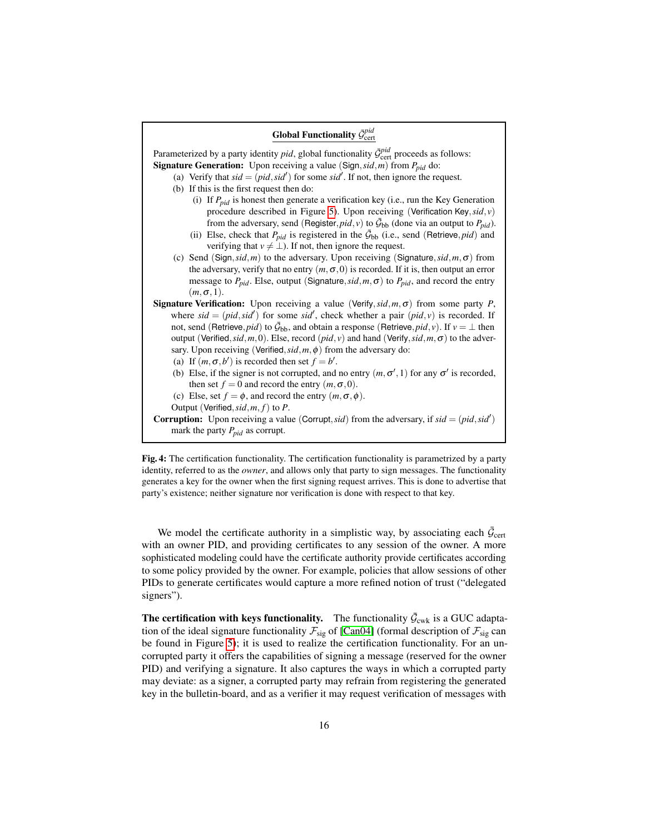<span id="page-16-0"></span>

| <b>Global Functionality</b> $\bar{\mathcal{G}}_{\text{cert}}^{pid}$                                                                 |
|-------------------------------------------------------------------------------------------------------------------------------------|
| Parameterized by a party identity pid, global functionality $\bar{\mathcal{G}}_{\text{cert}}^{pid}$ proceeds as follows:            |
| <b>Signature Generation:</b> Upon receiving a value (Sign, $sid, m$ ) from $P_{pid}$ do:                                            |
| (a) Verify that $sid = (pid, sid')$ for some $sid'$ . If not, then ignore the request.                                              |
| (b) If this is the first request then do:                                                                                           |
| (i) If $P_{pid}$ is honest then generate a verification key (i.e., run the Key Generation                                           |
| procedure described in Figure 5). Upon receiving (Verification Key, $sid, v$ )                                                      |
| from the adversary, send (Register, pid, v) to $\bar{\mathcal{G}}_{bb}$ (done via an output to $P_{pid}$ ).                         |
| (ii) Else, check that $P_{pid}$ is registered in the $\bar{\mathcal{G}}_{bb}$ (i.e., send (Retrieve, pid) and                       |
| verifying that $v \neq \perp$ ). If not, then ignore the request.                                                                   |
| (c) Send (Sign, sid, m) to the adversary. Upon receiving (Signature, sid, $m, \sigma$ ) from                                        |
| the adversary, verify that no entry $(m, \sigma, 0)$ is recorded. If it is, then output an error                                    |
| message to $P_{pid}$ . Else, output (Signature, sid, $m, \sigma$ ) to $P_{pid}$ , and record the entry                              |
| $(m, \sigma, 1).$                                                                                                                   |
| <b>Signature Verification:</b> Upon receiving a value (Verify, sid, $m, \sigma$ ) from some party P,                                |
| where $sid = (pid, sid')$ for some sid', check whether a pair $(pid, v)$ is recorded. If                                            |
| not, send (Retrieve, <i>pid</i> ) to $\bar{G}_{bb}$ , and obtain a response (Retrieve, <i>pid</i> , <i>v</i> ). If $v = \perp$ then |
| output (Verified, sid, m, 0). Else, record (pid, v) and hand (Verify, sid, m, $\sigma$ ) to the adver-                              |
| sary. Upon receiving (Verified, $sid, m, \phi$ ) from the adversary do:                                                             |
| (a) If $(m, \sigma, b')$ is recorded then set $f = b'$ .                                                                            |
| (b) Else, if the signer is not corrupted, and no entry $(m, \sigma', 1)$ for any $\sigma'$ is recorded,                             |
| then set $f = 0$ and record the entry $(m, \sigma, 0)$ .                                                                            |
| (c) Else, set $f = \phi$ , and record the entry $(m, \sigma, \phi)$ .                                                               |
| Output (Verified, $sid, m, f$ ) to P.                                                                                               |
| <b>Corruption:</b> Upon receiving a value (Corrupt, sid) from the adversary, if $sid = (pid, sid')$                                 |
| mark the party $P_{pid}$ as corrupt.                                                                                                |

Fig. 4: The certification functionality. The certification functionality is parametrized by a party identity, referred to as the *owner*, and allows only that party to sign messages. The functionality generates a key for the owner when the first signing request arrives. This is done to advertise that party's existence; neither signature nor verification is done with respect to that key.

We model the certificate authority in a simplistic way, by associating each  $\bar{\mathcal{G}}_{\text{cert}}$ with an owner PID, and providing certificates to any session of the owner. A more sophisticated modeling could have the certificate authority provide certificates according to some policy provided by the owner. For example, policies that allow sessions of other PIDs to generate certificates would capture a more refined notion of trust ("delegated signers").

**The certification with keys functionality.** The functionality  $\bar{G}_{\text{cwk}}$  is a GUC adaptation of the ideal signature functionality  $\mathcal{F}_{sig}$  of [\[Can04\]](#page-28-1) (formal description of  $\mathcal{F}_{sig}$  can be found in Figure [5\)](#page-17-0); it is used to realize the certification functionality. For an uncorrupted party it offers the capabilities of signing a message (reserved for the owner PID) and verifying a signature. It also captures the ways in which a corrupted party may deviate: as a signer, a corrupted party may refrain from registering the generated key in the bulletin-board, and as a verifier it may request verification of messages with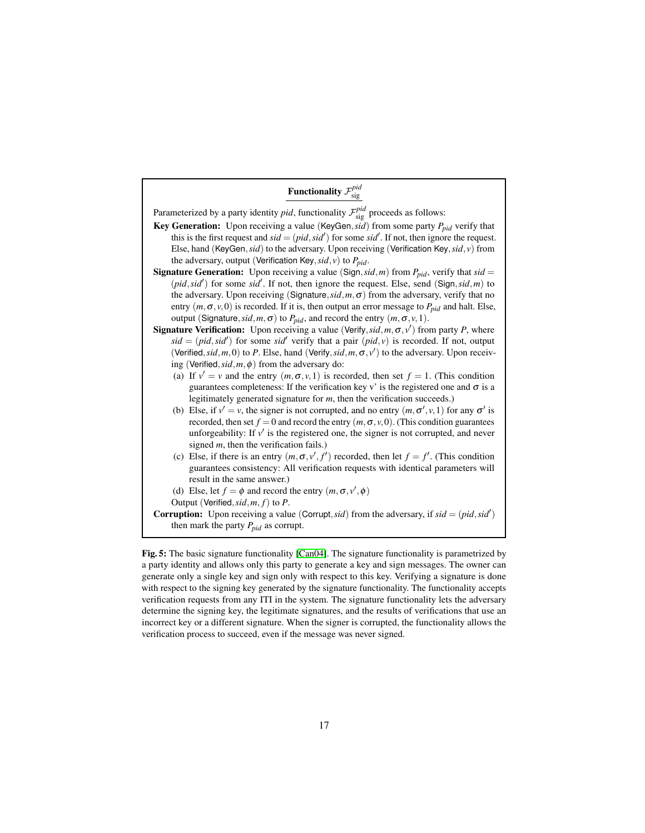# Functionality  $\mathcal{F}^{pid}_{\rm sig}$

<span id="page-17-0"></span>Parameterized by a party identity *pid*, functionality  $\mathcal{F}^{pid}_{sig}$  proceeds as follows:

- Key Generation: Upon receiving a value (KeyGen,*sid*) from some party *Ppid* verify that this is the first request and  $sid = (pid, sid')$  for some  $sid'$ . If not, then ignore the request. Else, hand (KeyGen,*sid*) to the adversary. Upon receiving (Verification Key,*sid*, *v*) from the adversary, output (Verification Key,  $sid, v$ ) to  $P_{pid}$ .
- **Signature Generation:** Upon receiving a value (Sign, sid, m) from  $P_{pid}$ , verify that sid =  $(pid, sid')$  for some *sid*<sup>'</sup>. If not, then ignore the request. Else, send (Sign, sid, *m*) to the adversary. Upon receiving (Signature,  $sid, m, \sigma$ ) from the adversary, verify that no entry  $(m, \sigma, v, 0)$  is recorded. If it is, then output an error message to  $P_{pid}$  and halt. Else, output (Signature, *sid*, *m*,  $\sigma$ ) to  $P_{pid}$ , and record the entry  $(m, \sigma, v, 1)$ .

Signature Verification: Upon receiving a value (Verify, sid,  $m, \sigma, v'$ ) from party P, where  $sid = (pid, sid')$  for some *sid*<sup> $\prime$ </sup> verify that a pair  $(pid, v)$  is recorded. If not, output (Verified,  $sid, m, 0)$  to *P*. Else, hand (Verify,  $sid, m, \sigma, v'$ ) to the adversary. Upon receiving (Verified,  $sid, m, \phi$ ) from the adversary do:

- (a) If  $v' = v$  and the entry  $(m, \sigma, v, 1)$  is recorded, then set  $f = 1$ . (This condition guarantees completeness: If the verification key v' is the registered one and  $\sigma$  is a legitimately generated signature for *m*, then the verification succeeds.)
- (b) Else, if  $v' = v$ , the signer is not corrupted, and no entry  $(m, \sigma', v, 1)$  for any  $\sigma'$  is recorded, then set  $f = 0$  and record the entry  $(m, \sigma, v, 0)$ . (This condition guarantees unforgeability: If  $v'$  is the registered one, the signer is not corrupted, and never signed *m*, then the verification fails.)
- (c) Else, if there is an entry  $(m, \sigma, v', f')$  recorded, then let  $f = f'$ . (This condition guarantees consistency: All verification requests with identical parameters will result in the same answer.)
- (d) Else, let  $f = \phi$  and record the entry  $(m, \sigma, v', \phi)$
- Output (Verified,*sid*,*m*, *f*) to *P*.
- **Corruption:** Upon receiving a value (Corrupt, sid) from the adversary, if  $sid = (pid, sid')$ then mark the party  $P_{pid}$  as corrupt.

Fig. 5: The basic signature functionality [\[Can04\]](#page-28-1). The signature functionality is parametrized by a party identity and allows only this party to generate a key and sign messages. The owner can generate only a single key and sign only with respect to this key. Verifying a signature is done with respect to the signing key generated by the signature functionality. The functionality accepts verification requests from any ITI in the system. The signature functionality lets the adversary determine the signing key, the legitimate signatures, and the results of verifications that use an incorrect key or a different signature. When the signer is corrupted, the functionality allows the verification process to succeed, even if the message was never signed.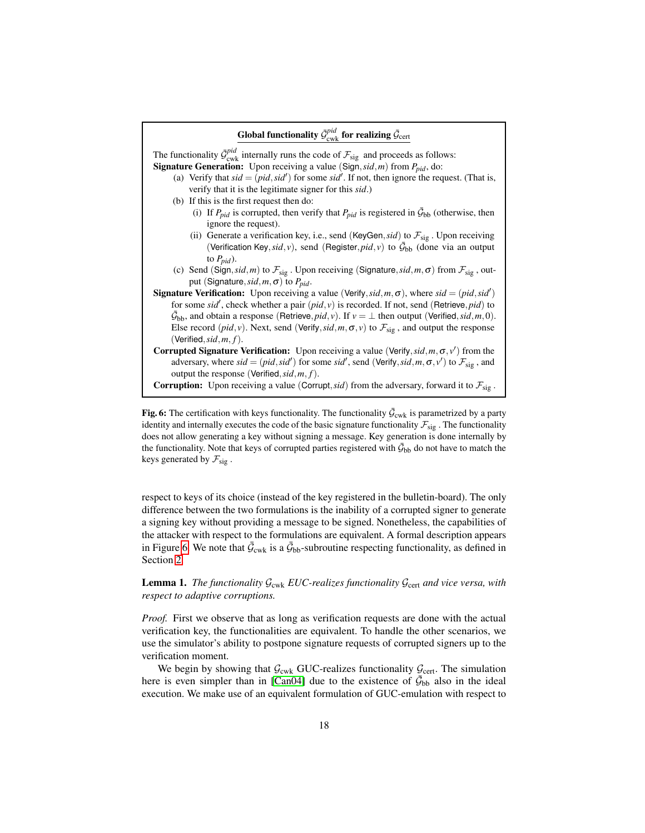<span id="page-18-0"></span>

| Global functionality $\bar{\mathcal{G}}_{\text{cwk}}^{pid}$ for realizing $\bar{\mathcal{G}}_{\text{cert}}$                                            |
|--------------------------------------------------------------------------------------------------------------------------------------------------------|
| The functionality $\bar{\mathcal{G}}_{cwk}^{pid}$ internally runs the code of $\mathcal{F}_{sig}$ and proceeds as follows:                             |
| <b>Signature Generation:</b> Upon receiving a value (Sign, sid, m) from $P_{pid}$ , do:                                                                |
| (a) Verify that $sid = (pid, sid')$ for some $sid'$ . If not, then ignore the request. (That is,                                                       |
| verify that it is the legitimate signer for this sid.)                                                                                                 |
| (b) If this is the first request then do:                                                                                                              |
| (i) If $P_{pid}$ is corrupted, then verify that $P_{pid}$ is registered in $\bar{\mathcal{G}}_{bb}$ (otherwise, then<br>ignore the request).           |
| (ii) Generate a verification key, i.e., send (KeyGen, sid) to $\mathcal{F}_{sig}$ . Upon receiving                                                     |
| (Verification Key, sid, v), send (Register, pid, v) to $\bar{\mathcal{G}}_{bb}$ (done via an output                                                    |
| to $P_{pid}$ ).                                                                                                                                        |
| (c) Send (Sign, sid, m) to $\mathcal{F}_{sig}$ . Upon receiving (Signature, sid, m, $\sigma$ ) from $\mathcal{F}_{sig}$ , out-                         |
| put (Signature, sid, m, $\sigma$ ) to $P_{pid}$ .                                                                                                      |
| <b>Signature Verification:</b> Upon receiving a value (Verify, sid, m, $\sigma$ ), where sid = (pid, sid')                                             |
| for some sid', check whether a pair $(pid, v)$ is recorded. If not, send (Retrieve, pid) to                                                            |
| $\bar{\mathcal{G}}_{bb}$ , and obtain a response (Retrieve, <i>pid</i> , <i>v</i> ). If $v = \perp$ then output (Verified, <i>sid</i> , <i>m</i> , 0). |
| Else record (pid, v). Next, send (Verify, sid, $m, \sigma, v$ ) to $\mathcal{F}_{sig}$ , and output the response                                       |
| (Verified, $sid, m, f$ ).                                                                                                                              |
| <b>Corrupted Signature Verification:</b> Upon receiving a value (Verify, sid, m, $\sigma$ , v') from the                                               |
| adversary, where $sid = (pid, sid')$ for some sid', send (Verify, sid, m, $\sigma$ , v') to $\mathcal{F}_{sig}$ , and                                  |
| output the response (Verified, $sid, m, f$ ).                                                                                                          |

**Corruption:** Upon receiving a value (Corrupt, sid) from the adversary, forward it to  $\mathcal{F}_{sig}$ 

Fig. 6: The certification with keys functionality. The functionality  $\bar{G}_{\text{cwk}}$  is parametrized by a party identity and internally executes the code of the basic signature functionality  $\mathcal{F}_{sig}$ . The functionality does not allow generating a key without signing a message. Key generation is done internally by the functionality. Note that keys of corrupted parties registered with  $\bar{\mathcal{G}}_{bb}$  do not have to match the keys generated by  $\mathcal{F}_{\text{sig}}$ .

respect to keys of its choice (instead of the key registered in the bulletin-board). The only difference between the two formulations is the inability of a corrupted signer to generate a signing key without providing a message to be signed. Nonetheless, the capabilities of the attacker with respect to the formulations are equivalent. A formal description appears in Figure [6.](#page-18-0) We note that  $\bar{\mathcal{G}}_{cwk}$  is a  $\bar{\mathcal{G}}_{bb}$ -subroutine respecting functionality, as defined in Section [2.](#page-8-0)

## <span id="page-18-1"></span>Lemma 1. *The functionality*  $G_{cwk}$  *EUC-realizes functionality*  $G_{cert}$  *and vice versa, with respect to adaptive corruptions.*

*Proof.* First we observe that as long as verification requests are done with the actual verification key, the functionalities are equivalent. To handle the other scenarios, we use the simulator's ability to postpone signature requests of corrupted signers up to the verification moment.

We begin by showing that  $\mathcal{G}_{cwk}$  GUC-realizes functionality  $\mathcal{G}_{cert}$ . The simulation here is even simpler than in [\[Can04\]](#page-28-1) due to the existence of  $\bar{\mathcal{G}}_{bb}$  also in the ideal execution. We make use of an equivalent formulation of GUC-emulation with respect to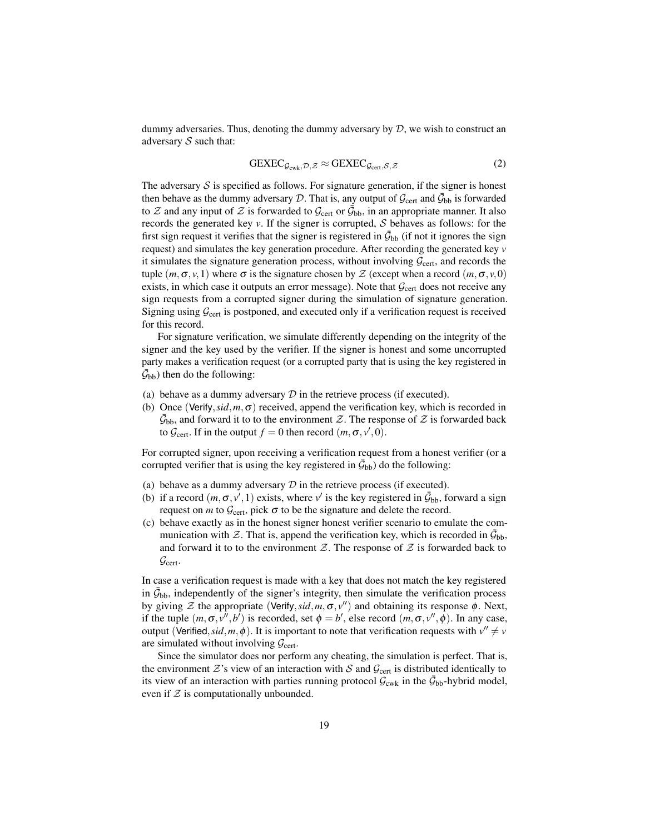dummy adversaries. Thus, denoting the dummy adversary by  $D$ , we wish to construct an adversary  $S$  such that:

$$
GEXEC_{\mathcal{G}_{\text{cwk}}, \mathcal{D}, \mathcal{Z}} \approx GEXEC_{\mathcal{G}_{\text{cert}}, \mathcal{S}, \mathcal{Z}}
$$
 (2)

The adversary  $S$  is specified as follows. For signature generation, if the signer is honest then behave as the dummy adversary D. That is, any output of  $\mathcal{G}_{\text{cert}}$  and  $\bar{\mathcal{G}}_{\text{bb}}$  is forwarded to  $\mathcal Z$  and any input of  $\mathcal Z$  is forwarded to  $\mathcal G_{\mathrm{cert}}$  or  $\bar{\mathcal G}_{\mathrm{bb}}$ , in an appropriate manner. It also records the generated key  $v$ . If the signer is corrupted,  $S$  behaves as follows: for the first sign request it verifies that the signer is registered in  $\bar{\mathcal{G}}_{bb}$  (if not it ignores the sign request) and simulates the key generation procedure. After recording the generated key *v* it simulates the signature generation process, without involving  $\mathcal{G}_{\text{cert}}$ , and records the tuple  $(m, \sigma, v, 1)$  where  $\sigma$  is the signature chosen by  $\mathcal Z$  (except when a record  $(m, \sigma, v, 0)$ ) exists, in which case it outputs an error message). Note that  $\mathcal{G}_{\text{cert}}$  does not receive any sign requests from a corrupted signer during the simulation of signature generation. Signing using  $G_{\text{cert}}$  is postponed, and executed only if a verification request is received for this record.

For signature verification, we simulate differently depending on the integrity of the signer and the key used by the verifier. If the signer is honest and some uncorrupted party makes a verification request (or a corrupted party that is using the key registered in  $\bar{\mathcal{G}}_{bb}$ ) then do the following:

- (a) behave as a dummy adversary  $\mathcal D$  in the retrieve process (if executed).
- (b) Once (Verify,  $sid, m, \sigma$ ) received, append the verification key, which is recorded in  $\bar{\mathcal{G}}_{bb}$ , and forward it to to the environment  $\mathcal{Z}$ . The response of  $\mathcal{Z}$  is forwarded back to  $\mathcal{G}_{\text{cert}}$ . If in the output  $f = 0$  then record  $(m, \sigma, v', 0)$ .

For corrupted signer, upon receiving a verification request from a honest verifier (or a corrupted verifier that is using the key registered in  $\bar{\mathcal{G}}_{bb}$ ) do the following:

- (a) behave as a dummy adversary  $D$  in the retrieve process (if executed).
- (b) if a record  $(m, \sigma, v', 1)$  exists, where  $v'$  is the key registered in  $\bar{\mathcal{G}}_{bb}$ , forward a sign request on *m* to  $\mathcal{G}_{\text{cert}}$ , pick  $\sigma$  to be the signature and delete the record.
- (c) behave exactly as in the honest signer honest verifier scenario to emulate the communication with Z. That is, append the verification key, which is recorded in  $\bar{\mathcal{G}}_{bb}$ , and forward it to to the environment  $Z$ . The response of  $Z$  is forwarded back to  $\mathcal{G}_{\text{cert}}$ .

In case a verification request is made with a key that does not match the key registered in  $\bar{\mathcal{G}}_{bb}$ , independently of the signer's integrity, then simulate the verification process by giving  $\mathcal Z$  the appropriate (Verify,  $sid, m, \sigma, v'$ ) and obtaining its response  $\phi$ . Next, if the tuple  $(m, \sigma, v'', b')$  is recorded, set  $\phi = b'$ , else record  $(m, \sigma, v'', \phi)$ . In any case, output (Verified, *sid*, *m*,  $\dot{\phi}$ ). It is important to note that verification requests with  $v'' \neq v$ are simulated without involving  $\mathcal{G}_{\text{cert}}$ .

Since the simulator does nor perform any cheating, the simulation is perfect. That is, the environment Z's view of an interaction with S and  $\mathcal{G}_{\text{cert}}$  is distributed identically to its view of an interaction with parties running protocol  $\mathcal{G}_{cwk}$  in the  $\bar{\mathcal{G}}_{bb}$ -hybrid model, even if  $Z$  is computationally unbounded.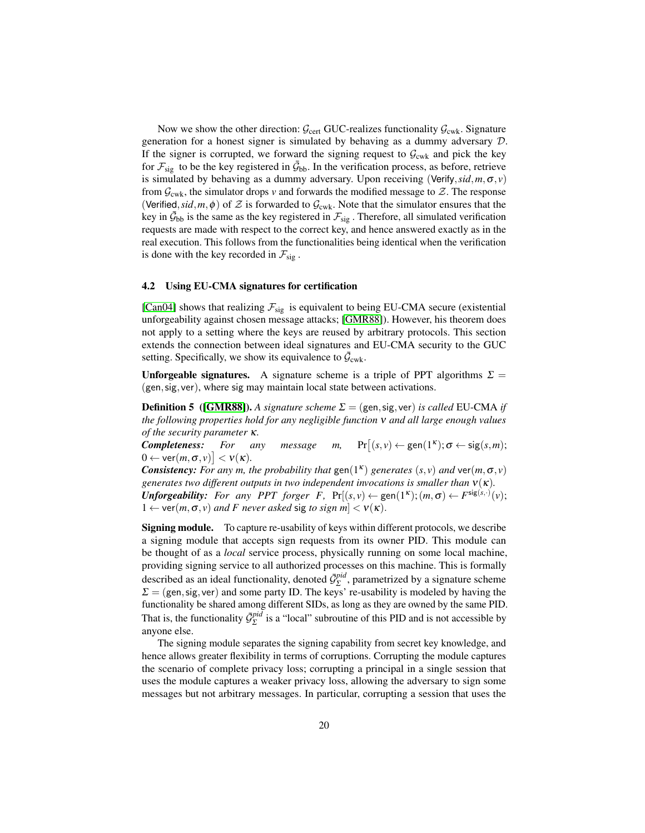Now we show the other direction:  $\mathcal{G}_{\text{cert}}$  GUC-realizes functionality  $\mathcal{G}_{\text{cwk}}$ . Signature generation for a honest signer is simulated by behaving as a dummy adversary D. If the signer is corrupted, we forward the signing request to  $\mathcal{G}_{cwk}$  and pick the key for  $\mathcal{F}_{sig}$  to be the key registered in  $\bar{\mathcal{G}}_{bb}$ . In the verification process, as before, retrieve is simulated by behaving as a dummy adversary. Upon receiving (Verify,  $sid, m, \sigma, v$ ) from  $\mathcal{G}_{cwk}$ , the simulator drops *v* and forwards the modified message to  $\mathcal{Z}$ . The response (Verified, sid,  $m, \phi$ ) of  $\mathcal{Z}$  is forwarded to  $\mathcal{G}_{cwk}$ . Note that the simulator ensures that the key in  $\bar{\mathcal{G}}_{bb}$  is the same as the key registered in  $\mathcal{F}_{sig}$  . Therefore, all simulated verification requests are made with respect to the correct key, and hence answered exactly as in the real execution. This follows from the functionalities being identical when the verification is done with the key recorded in  $\mathcal{F}_{\text{sig}}$ .

#### <span id="page-20-0"></span>4.2 Using EU-CMA signatures for certification

[\[Can04\]](#page-28-1) shows that realizing  $\mathcal{F}_{sig}$  is equivalent to being EU-CMA secure (existential unforgeability against chosen message attacks; [\[GMR88\]](#page-29-16)). However, his theorem does not apply to a setting where the keys are reused by arbitrary protocols. This section extends the connection between ideal signatures and EU-CMA security to the GUC setting. Specifically, we show its equivalence to  $\bar{\mathcal{G}}_{\text{cwk}}$ .

Unforgeable signatures. A signature scheme is a triple of PPT algorithms  $\Sigma =$ (gen,sig,ver), where sig may maintain local state between activations.

**Definition 5** ([\[GMR88\]](#page-29-16)). A signature scheme  $\Sigma = (gen, sig, ver)$  is called EU-CMA if *the following properties hold for any negligible function* ν *and all large enough values of the security parameter* κ*.*

*Completeness: For any message m,*  $(s, v) \leftarrow \text{gen}(1^{\kappa}); \sigma \leftarrow \text{sig}(s, m);$  $0 \leftarrow \mathsf{ver}(m, \sigma, v)] < v(\kappa).$ 

*Consistency:* For any *m, the probability that*  $gen(1<sup>\kappa</sup>)$  *generates*  $(s, v)$  *and* ver $(m, \sigma, v)$ *generates two different outputs in two independent invocations is smaller than*  $v(\kappa)$ *.* 

*Unforgeability: For any PPT forger F*,  $Pr[(s, v) \leftarrow gen(1^k); (m, \sigma) \leftarrow F^{sig(s, \cdot)}(v);$  $1 \leftarrow \text{ver}(m, \sigma, v)$  *and F never asked* sig *to sign*  $m \le v(\kappa)$ .

Signing module. To capture re-usability of keys within different protocols, we describe a signing module that accepts sign requests from its owner PID. This module can be thought of as a *local* service process, physically running on some local machine, providing signing service to all authorized processes on this machine. This is formally described as an ideal functionality, denoted  $\bar{\mathcal{G}}_{\Sigma}^{pid}$  $\sum_{\Sigma}$ , parametrized by a signature scheme  $\Sigma = (gen, sig, ver)$  and some party ID. The keys' re-usability is modeled by having the functionality be shared among different SIDs, as long as they are owned by the same PID. That is, the functionality  $\bar{\mathcal{G}}_{\Sigma}^{pid}$  $\sum_{\Sigma}$  is a "local" subroutine of this PID and is not accessible by anyone else.

The signing module separates the signing capability from secret key knowledge, and hence allows greater flexibility in terms of corruptions. Corrupting the module captures the scenario of complete privacy loss; corrupting a principal in a single session that uses the module captures a weaker privacy loss, allowing the adversary to sign some messages but not arbitrary messages. In particular, corrupting a session that uses the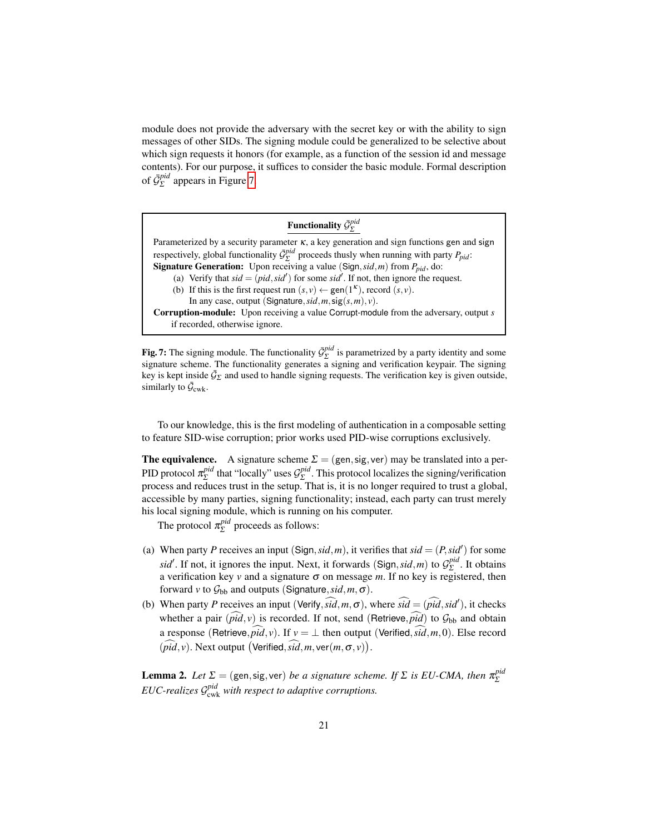module does not provide the adversary with the secret key or with the ability to sign messages of other SIDs. The signing module could be generalized to be selective about which sign requests it honors (for example, as a function of the session id and message contents). For our purpose, it suffices to consider the basic module. Formal description of  $\bar{\mathcal{G}}_{\Sigma}^{pid}$  $\sum_{\Sigma}$  appears in Figure [7.](#page-21-0)

<span id="page-21-0"></span>

| Functionality $\bar{\mathcal{G}}_{\Sigma}^{pid}$                                                                          |
|---------------------------------------------------------------------------------------------------------------------------|
| Parameterized by a security parameter $\kappa$ , a key generation and sign functions gen and sign                         |
| respectively, global functionality $\bar{\mathcal{G}}_{\Sigma}^{pid}$ proceeds thusly when running with party $P_{pid}$ : |
| <b>Signature Generation:</b> Upon receiving a value (Sign, $sid$ , m) from $P_{pid}$ , do:                                |
| (a) Verify that $sid = (pid, sid')$ for some $sid'$ . If not, then ignore the request.                                    |
| (b) If this is the first request run $(s, v) \leftarrow \text{gen}(1^k)$ , record $(s, v)$ .                              |
| In any case, output (Signature, $sid, m, sig(s, m), v$ ).                                                                 |
| <b>Corruption-module:</b> Upon receiving a value Corrupt-module from the adversary, output $s$                            |
| if recorded, otherwise ignore.                                                                                            |

Fig. 7: The signing module. The functionality  $\bar{\mathcal{G}}_{\Sigma}^{pid}$  $\sum_{\Sigma}$  is parametrized by a party identity and some signature scheme. The functionality generates a signing and verification keypair. The signing key is kept inside  $\bar{G}_{\Sigma}$  and used to handle signing requests. The verification key is given outside, similarly to  $\bar{\mathcal{G}}_{\text{cwk}}$ .

To our knowledge, this is the first modeling of authentication in a composable setting to feature SID-wise corruption; prior works used PID-wise corruptions exclusively.

**The equivalence.** A signature scheme  $\Sigma = (gen, sig, ver)$  may be translated into a per-PID protocol π *pid*  $\mathcal{L}^{pid}$  that "locally" uses  $\mathcal{G}^{pid}_{\Sigma}$  $\sum_{\Sigma}$ . This protocol localizes the signing/verification process and reduces trust in the setup. That is, it is no longer required to trust a global, accessible by many parties, signing functionality; instead, each party can trust merely his local signing module, which is running on his computer.

The protocol  $\pi_{\Sigma}^{pid}$  $\sum_{\Sigma}$  proceeds as follows:

- (a) When party *P* receives an input (Sign,  $sid$ , *m*), it verifies that  $sid = (P, sid')$  for some sid'. If not, it ignores the input. Next, it forwards (Sign, sid, m) to  $\mathcal{G}_{\Sigma}^{pid}$  $\sum_{\Sigma}^{pna}$ . It obtains a verification key  $v$  and a signature  $\sigma$  on message  $m$ . If no key is registered, then forward *v* to  $G_{bb}$  and outputs (Signature, *sid*, *m*,  $\sigma$ ).
- (b) When party *P* receives an input (Verify,  $\widehat{sid}, m, \sigma$ ), where  $\widehat{sid} = (\widehat{pid}, sid')$ , it checks whether a pair  $(\hat{pid}, v)$  is recorded. If not, send (Retrieve,  $\hat{pid}$ ) to  $\mathcal{G}_{bb}$  and obtain a response (Retrieve,  $\widehat{pid}, v$ ). If  $v = \perp$  then output (Verified,  $\widehat{sid}, m, 0$ ). Else record  $(\overline{pid}, v)$ . Next output  $(\text{Verified}, \overline{sid}, m, \text{ver}(m, \sigma, v)).$

<span id="page-21-1"></span>**Lemma 2.** Let  $\Sigma = (gen, sig, ver)$  *be a signature scheme. If*  $\Sigma$  *is EU-CMA, then*  $\pi_{\Sigma}^{pid}$ Σ EUC-realizes  $\mathcal{G}^{pid}_{\text{cwk}}$  with respect to adaptive corruptions.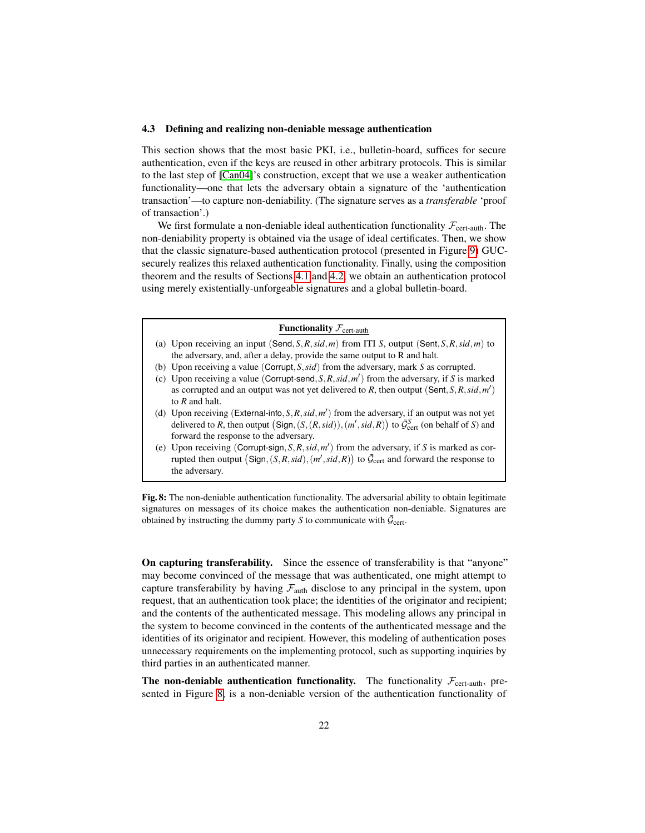#### <span id="page-22-0"></span>4.3 Defining and realizing non-deniable message authentication

This section shows that the most basic PKI, i.e., bulletin-board, suffices for secure authentication, even if the keys are reused in other arbitrary protocols. This is similar to the last step of [\[Can04\]](#page-28-1)'s construction, except that we use a weaker authentication functionality—one that lets the adversary obtain a signature of the 'authentication transaction'—to capture non-deniability. (The signature serves as a *transferable* 'proof of transaction'.)

We first formulate a non-deniable ideal authentication functionality  $\mathcal{F}_{\text{cert-auth}}$ . The non-deniability property is obtained via the usage of ideal certificates. Then, we show that the classic signature-based authentication protocol (presented in Figure [9\)](#page-23-0) GUCsecurely realizes this relaxed authentication functionality. Finally, using the composition theorem and the results of Sections [4.1](#page-15-0) and [4.2,](#page-20-0) we obtain an authentication protocol using merely existentially-unforgeable signatures and a global bulletin-board.

## <span id="page-22-1"></span>Functionality  $\mathcal{F}_{\text{cert-auth}}$ (a) Upon receiving an input (Send,*S*,*R*,*sid*,*m*) from ITI *S*, output (Sent,*S*,*R*,*sid*,*m*) to the adversary, and, after a delay, provide the same output to R and halt. (b) Upon receiving a value (Corrupt,*S*,*sid*) from the adversary, mark *S* as corrupted. (c) Upon receiving a value (Corrupt-send,*S*,*R*,*sid*,*m* 0 ) from the adversary, if *S* is marked as corrupted and an output was not yet delivered to  $R$ , then output (Sent,  $S$ ,  $R$ ,  $sid$ ,  $m'$ ) to *R* and halt. (d) Upon receiving (External-info,  $S$ ,  $R$ ,  $sid$ ,  $m'$ ) from the adversary, if an output was not yet delivered to *R*, then output  $(S(n, s, id), (m', sid, R))$  to  $\bar{\mathcal{G}}_{\text{cert}}^S$  (on behalf of *S*) and forward the response to the adversary. (e) Upon receiving (Corrupt-sign,  $S$ ,  $R$ ,  $sid$ ,  $m'$ ) from the adversary, if *S* is marked as corrupted then output  $(S, R, sid), (m', sid, R))$  to  $\bar{\mathcal{G}}_{cert}$  and forward the response to the adversary.

Fig. 8: The non-deniable authentication functionality. The adversarial ability to obtain legitimate signatures on messages of its choice makes the authentication non-deniable. Signatures are obtained by instructing the dummy party  $S$  to communicate with  $\bar{\mathcal{G}}_{\text{cert}}$ .

On capturing transferability. Since the essence of transferability is that "anyone" may become convinced of the message that was authenticated, one might attempt to capture transferability by having  $\mathcal{F}_{\text{auth}}$  disclose to any principal in the system, upon request, that an authentication took place; the identities of the originator and recipient; and the contents of the authenticated message. This modeling allows any principal in the system to become convinced in the contents of the authenticated message and the identities of its originator and recipient. However, this modeling of authentication poses unnecessary requirements on the implementing protocol, such as supporting inquiries by third parties in an authenticated manner.

The non-deniable authentication functionality. The functionality  $\mathcal{F}_{\text{cert-auth}}$ , presented in Figure [8,](#page-22-1) is a non-deniable version of the authentication functionality of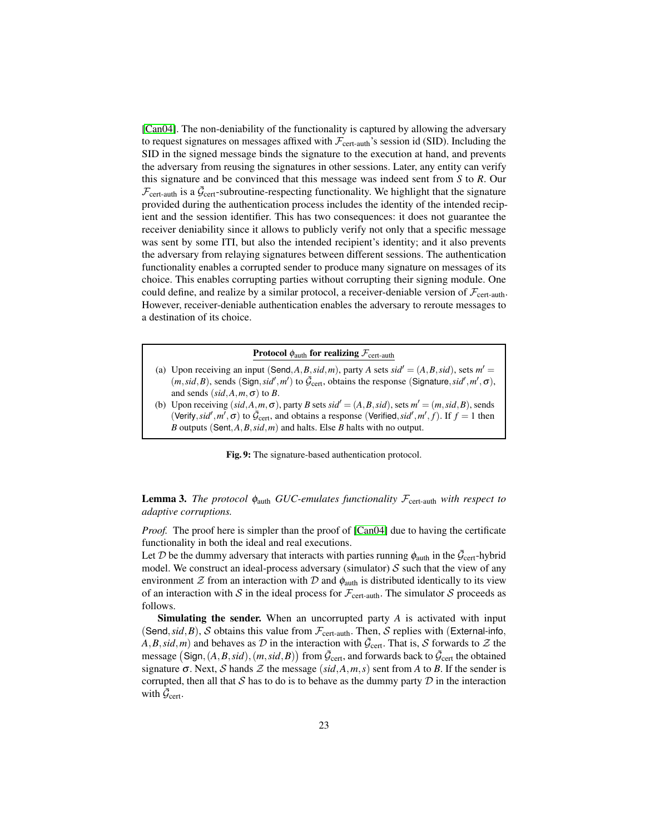[\[Can04\]](#page-28-1). The non-deniability of the functionality is captured by allowing the adversary to request signatures on messages affixed with  $\mathcal{F}_{\text{cert-auth}}$ 's session id (SID). Including the SID in the signed message binds the signature to the execution at hand, and prevents the adversary from reusing the signatures in other sessions. Later, any entity can verify this signature and be convinced that this message was indeed sent from *S* to *R*. Our  $\mathcal{F}_{\text{cert}-\text{auth}}$  is a  $\bar{\mathcal{G}}_{\text{cert}}$ -subroutine-respecting functionality. We highlight that the signature provided during the authentication process includes the identity of the intended recipient and the session identifier. This has two consequences: it does not guarantee the receiver deniability since it allows to publicly verify not only that a specific message was sent by some ITI, but also the intended recipient's identity; and it also prevents the adversary from relaying signatures between different sessions. The authentication functionality enables a corrupted sender to produce many signature on messages of its choice. This enables corrupting parties without corrupting their signing module. One could define, and realize by a similar protocol, a receiver-deniable version of  $\mathcal{F}_{\text{cert-auth}}$ . However, receiver-deniable authentication enables the adversary to reroute messages to a destination of its choice.

**Protocol**  $\phi_{\text{auth}}$  for realizing  $\mathcal{F}_{\text{cert-auth}}$ 

- <span id="page-23-0"></span>(a) Upon receiving an input (Send, A, B, sid, m), party A sets  $sid' = (A, B, sid)$ , sets  $m' =$  $(m, sid, B)$ , sends (Sign, sid', m') to  $\bar{\mathcal{G}}_{\text{cert}}$ , obtains the response (Signature, sid', m',  $\sigma$ ), and sends  $(sid, A, m, \sigma)$  to *B*.
- (b) Upon receiving  $(sid, A, m, \sigma)$ , party *B* sets  $sid' = (A, B, sid)$ , sets  $m' = (m, sid, B)$ , sends (Verify, sid<sup>t</sup>, m<sup>'</sup>,  $\sigma$ ) to  $\bar{G}_{\text{cert}}$ , and obtains a response (Verified, sid<sup>t</sup>, m', f). If  $f = 1$  then *B* outputs (Sent,*A*,*B*,*sid*,*m*) and halts. Else *B* halts with no output.

|  |  | Fig. 9: The signature-based authentication protocol. |  |  |
|--|--|------------------------------------------------------|--|--|
|--|--|------------------------------------------------------|--|--|

<span id="page-23-1"></span>**Lemma 3.** *The protocol* φ<sub>auth</sub> *GUC-emulates functionality*  $\mathcal{F}_{\text{cert-auth}}$  *with respect to adaptive corruptions.*

*Proof.* The proof here is simpler than the proof of [\[Can04\]](#page-28-1) due to having the certificate functionality in both the ideal and real executions.

Let  $\mathcal D$  be the dummy adversary that interacts with parties running  $\phi_{\rm auth}$  in the  $\bar{\mathcal G}_{\rm cert}$ -hybrid model. We construct an ideal-process adversary (simulator)  $S$  such that the view of any environment  $\mathcal Z$  from an interaction with  $\mathcal D$  and  $\phi_{\text{auth}}$  is distributed identically to its view of an interaction with S in the ideal process for  $\mathcal{F}_{\text{cert-auth}}$ . The simulator S proceeds as follows.

Simulating the sender. When an uncorrupted party *A* is activated with input (Send,  $sid, B$ ), S obtains this value from  $\mathcal{F}_{\text{cert-auth}}$ . Then, S replies with (External-info,  $\vec{A}, \vec{B}, \text{sid}, \vec{m}$  and behaves as  $\mathcal{D}$  in the interaction with  $\vec{\mathcal{G}}_{\text{cert}}$ . That is,  $\mathcal S$  forwards to  $\mathcal Z$  the message  $(Sign, (A, B, sid), (m, sid, B))$  from  $\bar{\mathcal{G}}_{cert}$ , and forwards back to  $\bar{\mathcal{G}}_{cert}$  the obtained signature  $\sigma$ . Next, S hands Z the message (*sid*, A, m, s) sent from A to B. If the sender is corrupted, then all that  $S$  has to do is to behave as the dummy party  $D$  in the interaction with  $\bar{\mathcal{G}}_{\text{cert}}$ .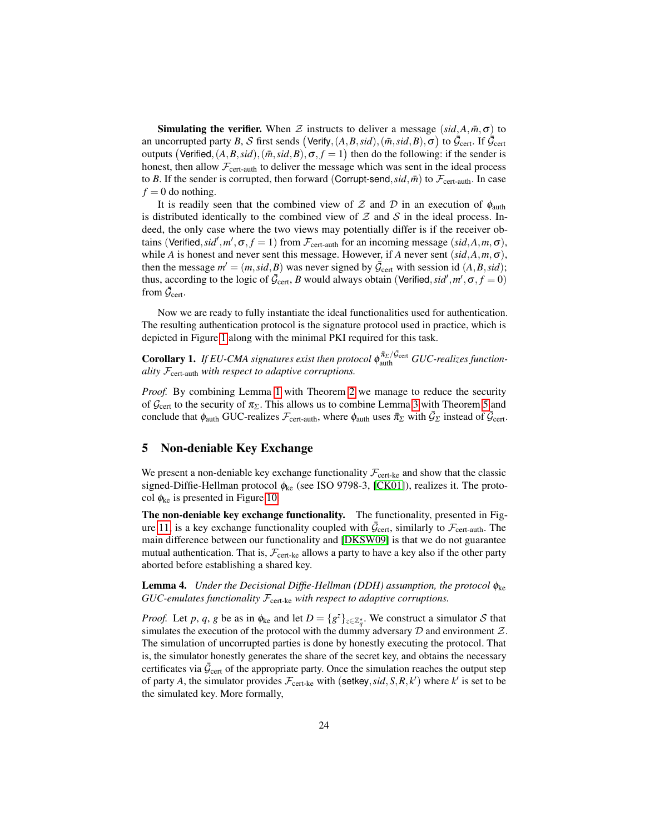**Simulating the verifier.** When Z instructs to deliver a message  $(\text{sid}, A, \bar{m}, \sigma)$  to an uncorrupted party B, S first sends  $(\textsf{Verify}, (A, B, sid), (\bar{m}, sid, B), \sigma)$  to  $\bar{\mathcal{G}}_{\text{cert}}$ . If  $\bar{\mathcal{G}}_{\text{cert}}$ outputs (Verified,  $(A, B, sid)$ ,  $(\bar{m}, sid, B)$ ,  $\sigma$ ,  $f = 1$ ) then do the following: if the sender is honest, then allow  $\mathcal{F}_{\text{cert-auth}}$  to deliver the message which was sent in the ideal process to *B*. If the sender is corrupted, then forward (Corrupt-send,  $sid$ ,  $\bar{m}$ ) to  $\mathcal{F}_{\text{cert-auth}}$ . In case  $f = 0$  do nothing.

It is readily seen that the combined view of Z and D in an execution of  $\phi_{\text{auth}}$ is distributed identically to the combined view of  $Z$  and  $S$  in the ideal process. Indeed, the only case where the two views may potentially differ is if the receiver obtains (Verified, *sid'*,  $m'$ ,  $\sigma$ ,  $f = 1$ ) from  $\mathcal{F}_{\text{cert-auth}}$  for an incoming message (*sid*,  $A$ ,  $m$ ,  $\sigma$ ), while *A* is honest and never sent this message. However, if *A* never sent  $(id, A, m, \sigma)$ , then the message  $m' = (m, sid, B)$  was never signed by  $\bar{G}_{\text{cert}}$  with session id  $(A, B, sid)$ ; thus, according to the logic of  $\bar{G}_{\text{cert}}$ , *B* would always obtain (Verified, sid<sup>'</sup>,  $m'$ ,  $\sigma$ ,  $f = 0$ ) from  $\bar{\mathcal{G}}_{\text{cert}}$ .

Now we are ready to fully instantiate the ideal functionalities used for authentication. The resulting authentication protocol is the signature protocol used in practice, which is depicted in Figure [1](#page-6-0) along with the minimal PKI required for this task.

**Corollary 1.** If EU-CMA signatures exist then protocol  $\phi_{\text{auth}}^{\bar{\pi}_{\Sigma}/\bar{G}_{\text{cert}}}$  GUC-realizes function*ality*  $\mathcal{F}_{\text{cert-auth}}$  *with respect to adaptive corruptions.* 

*Proof.* By combining Lemma [1](#page-18-1) with Theorem [2](#page-21-1) we manage to reduce the security of  $\mathcal{G}_{\text{cert}}$  to the security of  $\pi_{\Sigma}$ . This allows us to combine Lemma [3](#page-23-1) with Theorem [5](#page-11-2) and conclude that  $\phi_{\text{auth}}$  GUC-realizes  $\mathcal{F}_{\text{cert-auth}}$ , where  $\phi_{\text{auth}}$  uses  $\bar{\pi}_{\Sigma}$  with  $\bar{\mathcal{G}}_{\Sigma}$  instead of  $\bar{\mathcal{G}}_{\text{cert}}$ .

#### 5 Non-deniable Key Exchange

We present a non-deniable key exchange functionality  $\mathcal{F}_{\text{cert-ke}}$  and show that the classic signed-Diffie-Hellman protocol  $\phi_{\text{ke}}$  (see ISO 9798-3, [\[CK01\]](#page-28-0)), realizes it. The protocol  $\phi_{\text{ke}}$  is presented in Figure [10.](#page-25-0)

The non-deniable key exchange functionality. The functionality, presented in Fig-ure [11,](#page-26-0) is a key exchange functionality coupled with  $\bar{\mathcal{G}}_{\text{cert}}$ , similarly to  $\mathcal{F}_{\text{cert-auth}}$ . The main difference between our functionality and [\[DKSW09\]](#page-29-8) is that we do not guarantee mutual authentication. That is,  $\mathcal{F}_{\text{cert-ke}}$  allows a party to have a key also if the other party aborted before establishing a shared key.

Lemma 4. *Under the Decisional Diffie-Hellman (DDH) assumption, the protocol* φ<sub>ke</sub>  $GUC$ -emulates functionality  $\mathcal{F}_{\text{cert-ke}}$  with respect to adaptive corruptions.

*Proof.* Let *p*, *q*, *g* be as in  $\phi_{ke}$  and let  $D = \{g^z\}_{z \in \mathbb{Z}_q^*}$ . We construct a simulator S that simulates the execution of the protocol with the dummy adversary  $D$  and environment  $\mathcal{Z}$ . The simulation of uncorrupted parties is done by honestly executing the protocol. That is, the simulator honestly generates the share of the secret key, and obtains the necessary certificates via  $\bar{\mathcal{G}}_{\text{cert}}$  of the appropriate party. Once the simulation reaches the output step of party *A*, the simulator provides  $\mathcal{F}_{\text{cert-ke}}$  with (setkey, sid, S, R, k') where k' is set to be the simulated key. More formally,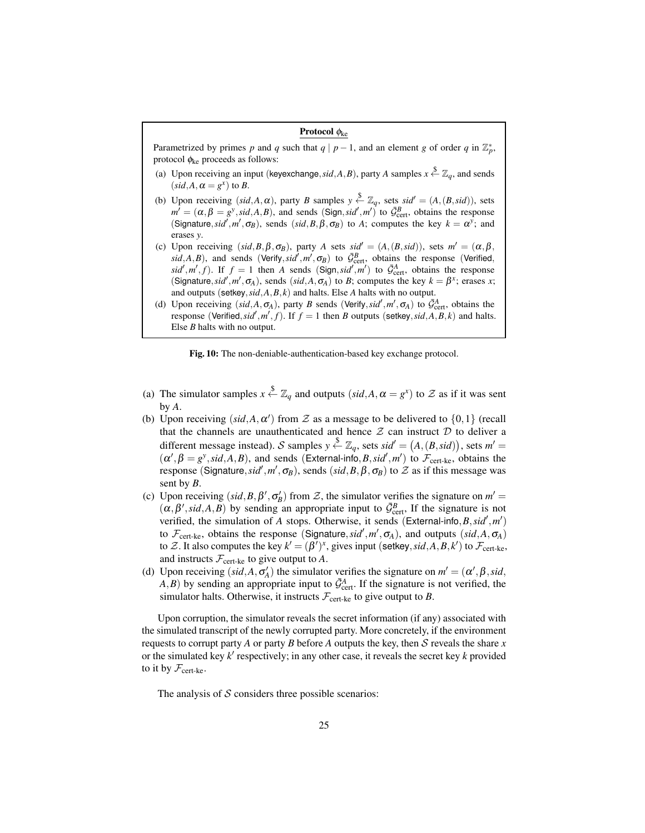#### **Protocol**  $\phi_{ke}$

<span id="page-25-0"></span>Parametrized by primes *p* and *q* such that  $q | p - 1$ , and an element *g* of order *q* in  $\mathbb{Z}_p^*$ , protocol  $\phi_{ke}$  proceeds as follows:

- (a) Upon receiving an input (keyexchange, *sid*, A, B), party A samples  $x \stackrel{\$}{\leftarrow} \mathbb{Z}_q$ , and sends  $(sid, A, \alpha = g^x)$  to *B*.
- (b) Upon receiving  $(sid, A, \alpha)$ , party *B* samples  $y \stackrel{\$}{\leftarrow} \mathbb{Z}_q$ , sets  $sid' = (A, (B, sid))$ , sets  $m' = (\alpha, \beta = g^y, sid, A, B)$ , and sends (Sign, *sid'*, *m'*) to  $\bar{G}_{\text{cert}}^B$ , obtains the response (Signature, *sid'*,  $m'$ ,  $\sigma_B$ ), sends (*sid*,  $B$ ,  $B$ ,  $\sigma_B$ ) to *A*; computes the key  $k = \alpha^y$ ; and erases *y*.
- (c) Upon receiving  $(sid, B, \beta, \sigma_B)$ , party *A* sets  $sid' = (A, (B, sid))$ , sets  $m' = (\alpha, \beta,$  $sid, A, B$ ), and sends (Verify,  $sid', m', \sigma_B$ ) to  $\bar{\mathcal{G}}_{cert}^B$ , obtains the response (Verified,  $sid', m', f$ ). If  $f = 1$  then *A* sends (Sign,  $sid', m'$ ) to  $\bar{\mathcal{G}}_{\text{cert}}^A$ , obtains the response (Signature, *sid'*, *m'*,  $\sigma_A$ ), sends (*sid*,  $A$ ,  $\sigma_A$ ) to *B*; computes the key  $k = \beta^x$ ; erases *x*; and outputs (setkey,*sid*,*A*,*B*, *k*) and halts. Else *A* halts with no output.
- (d) Upon receiving  $(sid, A, \sigma_A)$ , party *B* sends (Verify, sid', m',  $\sigma_A$ ) to  $\bar{\mathcal{G}}_{\text{cert}}^A$ , obtains the response (Verified, sid', m', f). If  $f = 1$  then *B* outputs (setkey, sid, A, B, k) and halts. Else *B* halts with no output.

Fig. 10: The non-deniable-authentication-based key exchange protocol.

- (a) The simulator samples  $x \stackrel{\$}{\leftarrow} \mathbb{Z}_q$  and outputs  $(sid, A, \alpha = g^x)$  to  $\mathcal Z$  as if it was sent by *A*.
- (b) Upon receiving  $(sid, A, \alpha')$  from  $\mathcal Z$  as a message to be delivered to  $\{0, 1\}$  (recall that the channels are unauthenticated and hence  $Z$  can instruct  $D$  to deliver a different message instead). S samples  $y \stackrel{\$}{\leftarrow} \mathbb{Z}_q$ , sets  $sid' = (A, (B, sid))$ , sets  $m' =$  $(\alpha', \beta = g^y, \text{sid}, A, B)$ , and sends (External-info, *B*, *sid'*, *m'*) to  $\mathcal{F}_{\text{cert-ke}}$ , obtains the response (Signature, *sid'*,  $m'$ ,  $\sigma_B$ ), sends (*sid*,  $B$ ,  $\beta$ ,  $\sigma_B$ ) to  $\mathcal Z$  as if this message was sent by *B*.
- (c) Upon receiving  $(id, B, \beta', \sigma'_B)$  from Z, the simulator verifies the signature on  $m' =$  $(\alpha, \beta', sid, A, B)$  by sending an appropriate input to  $\bar{\mathcal{G}}_{\text{cert}}^B$ , If the signature is not verified, the simulation of *A* stops. Otherwise, it sends (External-info,  $B$ ,  $sid'$ ,  $m'$ ) to  $\mathcal{F}_{\text{cert-ke}}$ , obtains the response (Signature, *sid'*,  $m'$ ,  $\sigma_A$ ), and outputs (*sid*,  $A$ ,  $\sigma_A$ ) to Z. It also computes the key  $k' = (\beta')^x$ , gives input (setkey, sid, A, B, k') to  $\mathcal{F}_{\text{cert-ke}}$ , and instructs  $\mathcal{F}_{\text{cert-ke}}$  to give output to  $A$ .
- (d) Upon receiving  $(sid, A, \sigma'_A)$  the simulator verifies the signature on  $m' = (\alpha', \beta, sid, \sigma'_A)$  $(A, B)$  by sending an appropriate input to  $\bar{\mathcal{G}}_{\text{cert}}^A$ . If the signature is not verified, the simulator halts. Otherwise, it instructs  $\mathcal{F}_{\text{cert-ke}}$  to give output to *B*.

Upon corruption, the simulator reveals the secret information (if any) associated with the simulated transcript of the newly corrupted party. More concretely, if the environment requests to corrupt party *A* or party *B* before *A* outputs the key, then *S* reveals the share *x* or the simulated key  $k'$  respectively; in any other case, it reveals the secret key k provided to it by  $\mathcal{F}_{\text{cert-ke}}$ .

The analysis of  $S$  considers three possible scenarios: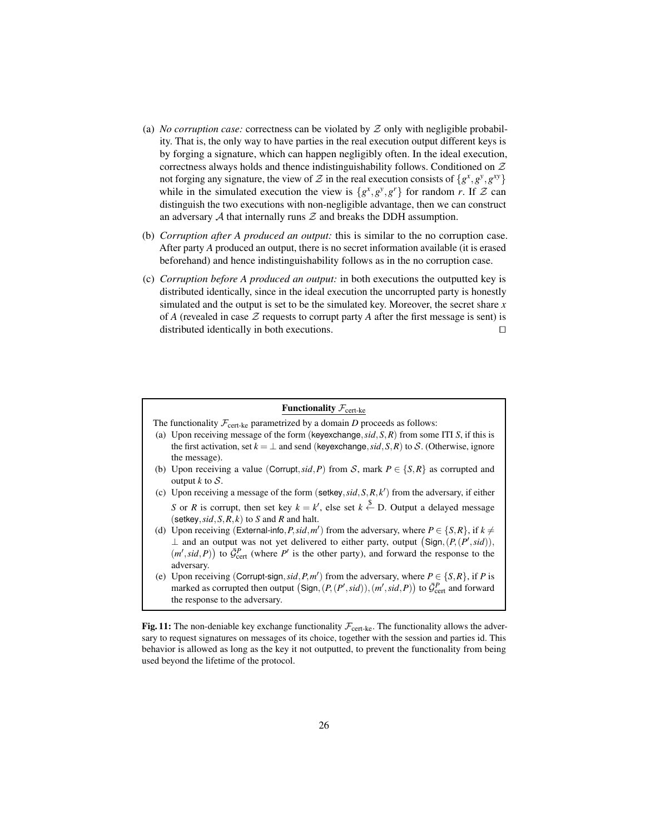- (a) *No corruption case:* correctness can be violated by  $Z$  only with negligible probability. That is, the only way to have parties in the real execution output different keys is by forging a signature, which can happen negligibly often. In the ideal execution, correctness always holds and thence indistinguishability follows. Conditioned on  $Z$ not forging any signature, the view of  $\mathcal{Z}$  in the real execution consists of  $\{g^x, g^y, g^{xy}\}$ while in the simulated execution the view is  $\{g^x, g^y, g^r\}$  for random *r*. If Z can distinguish the two executions with non-negligible advantage, then we can construct an adversary  $A$  that internally runs  $Z$  and breaks the DDH assumption.
- (b) *Corruption after A produced an output:* this is similar to the no corruption case. After party *A* produced an output, there is no secret information available (it is erased beforehand) and hence indistinguishability follows as in the no corruption case.
- (c) *Corruption before A produced an output:* in both executions the outputted key is distributed identically, since in the ideal execution the uncorrupted party is honestly simulated and the output is set to be the simulated key. Moreover, the secret share *x* of *A* (revealed in case  $Z$  requests to corrupt party *A* after the first message is sent) is distributed identically in both executions.  $\Box$

#### **Functionality**  $\mathcal{F}_{\text{cert-ke}}$

<span id="page-26-0"></span>The functionality  $\mathcal{F}_{\text{cert-ke}}$  parametrized by a domain *D* proceeds as follows:

- (a) Upon receiving message of the form (keyexchange,*sid*,*S*,*R*) from some ITI *S*, if this is the first activation, set  $k = \perp$  and send (keyexchange, sid, S, R) to S. (Otherwise, ignore the message).
- (b) Upon receiving a value (Corrupt,  $sid, P$ ) from S, mark  $P \in \{S, R\}$  as corrupted and output  $k$  to  $S$ .
- (c) Upon receiving a message of the form (setkey,  $sid, S, R, k'$ ) from the adversary, if either *S* or *R* is corrupt, then set key  $k = k'$ , else set  $k \stackrel{\$}{\leftarrow}$  D. Output a delayed message (setkey,  $sid$ ,  $S$ ,  $R$ ,  $k$ ) to  $S$  and  $R$  and halt.
- (d) Upon receiving (External-info, *P*, sid, m') from the adversary, where  $P \in \{S, R\}$ , if  $k \neq$ ⊥ and an output was not yet delivered to either party, output  $(Sign, (P, (P', sid)),$  $(m', sid, P)$  to  $\bar{\mathcal{G}}_{\text{cert}}^P$  (where  $P'$  is the other party), and forward the response to the adversary.
- (e) Upon receiving (Corrupt-sign, sid, *P*, *m'*) from the adversary, where  $P \in \{S, R\}$ , if *P* is marked as corrupted then output  $(Sign, (P, (P', sid)), (m', sid, P))$  to  $\bar{\mathcal{G}}_{\text{cert}}^P$  and forward the response to the adversary.

Fig. 11: The non-deniable key exchange functionality  $\mathcal{F}_{\text{cert-ke}}$ . The functionality allows the adversary to request signatures on messages of its choice, together with the session and parties id. This behavior is allowed as long as the key it not outputted, to prevent the functionality from being used beyond the lifetime of the protocol.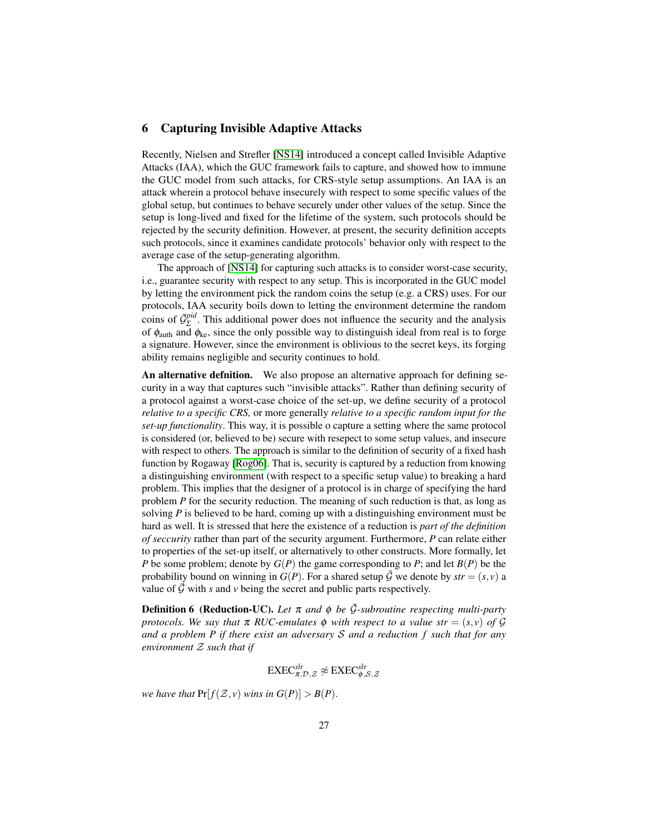## <span id="page-27-0"></span>6 Capturing Invisible Adaptive Attacks

Recently, Nielsen and Strefler [\[NS14\]](#page-29-14) introduced a concept called Invisible Adaptive Attacks (IAA), which the GUC framework fails to capture, and showed how to immune the GUC model from such attacks, for CRS-style setup assumptions. An IAA is an attack wherein a protocol behave insecurely with respect to some specific values of the global setup, but continues to behave securely under other values of the setup. Since the setup is long-lived and fixed for the lifetime of the system, such protocols should be rejected by the security definition. However, at present, the security definition accepts such protocols, since it examines candidate protocols' behavior only with respect to the average case of the setup-generating algorithm.

The approach of [\[NS14\]](#page-29-14) for capturing such attacks is to consider worst-case security, i.e., guarantee security with respect to any setup. This is incorporated in the GUC model by letting the environment pick the random coins the setup (e.g. a CRS) uses. For our protocols, IAA security boils down to letting the environment determine the random coins of  $\bar{\mathcal{G}}_{\Sigma}^{pid}$  $\sum_{\Sigma}$ . This additional power does not influence the security and the analysis of  $\phi$ <sub>auth</sub> and  $\phi$ <sub>ke</sub>, since the only possible way to distinguish ideal from real is to forge a signature. However, since the environment is oblivious to the secret keys, its forging ability remains negligible and security continues to hold.

An alternative defnition. We also propose an alternative approach for defining security in a way that captures such "invisible attacks". Rather than defining security of a protocol against a worst-case choice of the set-up, we define security of a protocol *relative to a specific CRS,* or more generally *relative to a specific random input for the set-up functionality*. This way, it is possible o capture a setting where the same protocol is considered (or, believed to be) secure with resepect to some setup values, and insecure with respect to others. The approach is similar to the definition of security of a fixed hash function by Rogaway [\[Rog06\]](#page-29-17). That is, security is captured by a reduction from knowing a distinguishing environment (with respect to a specific setup value) to breaking a hard problem. This implies that the designer of a protocol is in charge of specifying the hard problem *P* for the security reduction. The meaning of such reduction is that, as long as solving *P* is believed to be hard, coming up with a distinguishing environment must be hard as well. It is stressed that here the existence of a reduction is *part of the definition of seccurity* rather than part of the security argument. Furthermore, *P* can relate either to properties of the set-up itself, or alternatively to other constructs. More formally, let *P* be some problem; denote by *G*(*P*) the game corresponding to *P*; and let *B*(*P*) be the probability bound on winning in  $G(P)$ . For a shared setup  $\bar{G}$  we denote by  $str = (s, v)$  a value of  $\bar{G}$  with *s* and *v* being the secret and public parts respectively.

**Definition 6 (Reduction-UC).** Let  $\pi$  and  $\phi$  be  $\bar{G}$ -subroutine respecting multi-party *protocols. We say that*  $\pi$  *RUC-emulates*  $\phi$  *with respect to a value str* =  $(s, v)$  *of*  $\mathcal{G}$ *and a problem P if there exist an adversary* S *and a reduction f such that for any environment* Z *such that if*

$$
\text{EXEC}_{\pi, \mathcal{D}, \mathcal{Z}}^{\text{str}} \not\approx \text{EXEC}_{\phi, \mathcal{S}, \mathcal{Z}}^{\text{str}}
$$

*we have that*  $Pr[f(\mathcal{Z}, v) \text{ wins in } G(P)] > B(P)$ .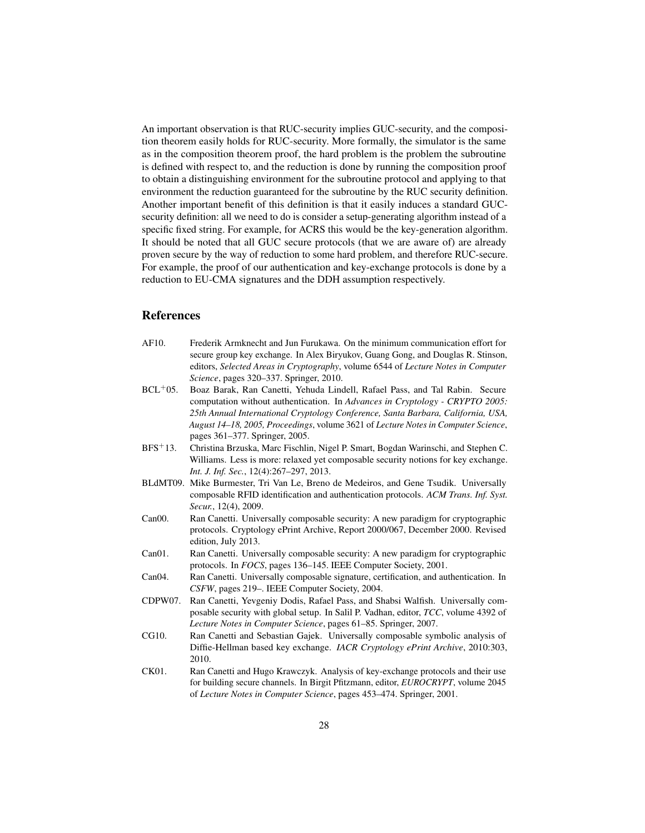An important observation is that RUC-security implies GUC-security, and the composition theorem easily holds for RUC-security. More formally, the simulator is the same as in the composition theorem proof, the hard problem is the problem the subroutine is defined with respect to, and the reduction is done by running the composition proof to obtain a distinguishing environment for the subroutine protocol and applying to that environment the reduction guaranteed for the subroutine by the RUC security definition. Another important benefit of this definition is that it easily induces a standard GUCsecurity definition: all we need to do is consider a setup-generating algorithm instead of a specific fixed string. For example, for ACRS this would be the key-generation algorithm. It should be noted that all GUC secure protocols (that we are aware of) are already proven secure by the way of reduction to some hard problem, and therefore RUC-secure. For example, the proof of our authentication and key-exchange protocols is done by a reduction to EU-CMA signatures and the DDH assumption respectively.

# References

<span id="page-28-9"></span><span id="page-28-8"></span><span id="page-28-7"></span><span id="page-28-6"></span><span id="page-28-5"></span><span id="page-28-4"></span><span id="page-28-3"></span><span id="page-28-2"></span><span id="page-28-1"></span><span id="page-28-0"></span>

| AF10.                  | Frederik Armknecht and Jun Furukawa. On the minimum communication effort for                |
|------------------------|---------------------------------------------------------------------------------------------|
|                        | secure group key exchange. In Alex Biryukov, Guang Gong, and Douglas R. Stinson,            |
|                        | editors, Selected Areas in Cryptography, volume 6544 of Lecture Notes in Computer           |
|                        | Science, pages 320–337. Springer, 2010.                                                     |
| $BCL+05$ .             | Boaz Barak, Ran Canetti, Yehuda Lindell, Rafael Pass, and Tal Rabin. Secure                 |
|                        | computation without authentication. In Advances in Cryptology - CRYPTO 2005:                |
|                        | 25th Annual International Cryptology Conference, Santa Barbara, California, USA,            |
|                        | August 14-18, 2005, Proceedings, volume 3621 of Lecture Notes in Computer Science,          |
|                        | pages 361-377. Springer, 2005.                                                              |
| $BFS$ <sup>+</sup> 13. | Christina Brzuska, Marc Fischlin, Nigel P. Smart, Bogdan Warinschi, and Stephen C.          |
|                        | Williams. Less is more: relaxed yet composable security notions for key exchange.           |
|                        | Int. J. Inf. Sec., 12(4):267-297, 2013.                                                     |
|                        | BLdMT09. Mike Burmester, Tri Van Le, Breno de Medeiros, and Gene Tsudik. Universally        |
|                        | composable RFID identification and authentication protocols. ACM Trans. Inf. Syst.          |
|                        | Secur., 12(4), 2009.                                                                        |
| Can00.                 | Ran Canetti. Universally composable security: A new paradigm for cryptographic              |
|                        | protocols. Cryptology ePrint Archive, Report 2000/067, December 2000. Revised               |
|                        | edition, July 2013.                                                                         |
| Can <sub>01</sub> .    | Ran Canetti. Universally composable security: A new paradigm for cryptographic              |
|                        | protocols. In FOCS, pages 136–145. IEEE Computer Society, 2001.                             |
| Can04.                 | Ran Canetti. Universally composable signature, certification, and authentication. In        |
|                        | CSFW, pages 219–. IEEE Computer Society, 2004.                                              |
| CDPW07.                | Ran Canetti, Yevgeniy Dodis, Rafael Pass, and Shabsi Walfish. Universally com-              |
|                        | posable security with global setup. In Salil P. Vadhan, editor, <i>TCC</i> , volume 4392 of |
|                        | Lecture Notes in Computer Science, pages 61-85. Springer, 2007.                             |
| CG10.                  | Ran Canetti and Sebastian Gajek. Universally composable symbolic analysis of                |
|                        | Diffie-Hellman based key exchange. <i>IACR Cryptology ePrint Archive</i> , 2010:303,        |
|                        | 2010.                                                                                       |
| CK01.                  | Ran Canetti and Hugo Krawczyk. Analysis of key-exchange protocols and their use             |
|                        | for building secure channels. In Birgit Pfitzmann, editor, <i>EUROCRYPT</i> , volume 2045   |
|                        | of Lecture Notes in Computer Science, pages 453-474. Springer, 2001.                        |